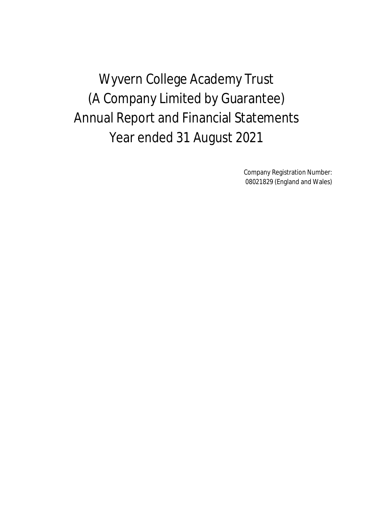Wyvern College Academy Trust (A Company Limited by Guarantee) Annual Report and Financial Statements Year ended 31 August 2021

> Company Registration Number: 08021829 (England and Wales)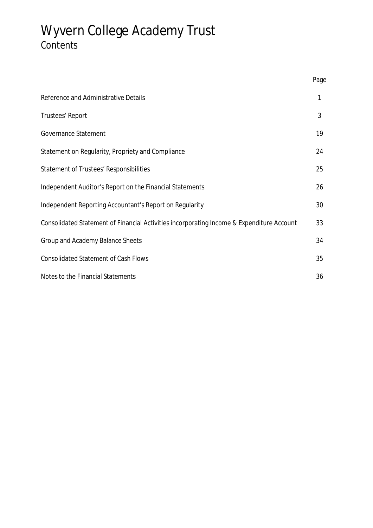# Wyvern College Academy Trust Contents

|                                                                                           | Page |
|-------------------------------------------------------------------------------------------|------|
| Reference and Administrative Details                                                      | 1    |
| Trustees' Report                                                                          | 3    |
| Governance Statement                                                                      | 19   |
| Statement on Regularity, Propriety and Compliance                                         | 24   |
| Statement of Trustees' Responsibilities                                                   | 25   |
| Independent Auditor's Report on the Financial Statements                                  | 26   |
| Independent Reporting Accountant's Report on Regularity                                   | 30   |
| Consolidated Statement of Financial Activities incorporating Income & Expenditure Account | 33   |
| Group and Academy Balance Sheets                                                          | 34   |
| <b>Consolidated Statement of Cash Flows</b>                                               | 35   |
| Notes to the Financial Statements                                                         | 36   |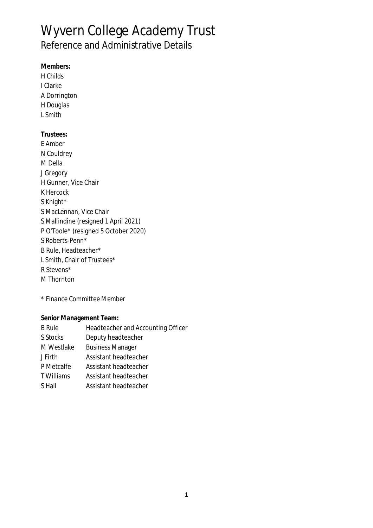## Wyvern College Academy Trust Reference and Administrative Details

**Members:** H Childs I Clarke A Dorrington H Douglas L Smith **Trustees:** E Amber N Couldrey M Della J Gregory H Gunner, Vice Chair K Hercock S Knight\* S MacLennan, Vice Chair S Mallindine (resigned 1 April 2021) P O'Toole\* (resigned 5 October 2020) S Roberts-Penn\* B Rule, Headteacher\* L Smith, Chair of Trustees\* R Stevens\* M Thornton

*\* Finance Committee Member*

**Senior Management Team:**

| <b>B</b> Rule  | Headteacher and Accounting Officer |
|----------------|------------------------------------|
| S Stocks       | Deputy headteacher                 |
| M Westlake     | <b>Business Manager</b>            |
| <b>J</b> Firth | Assistant headteacher              |
| P Metcalfe     | Assistant headteacher              |
| T Williams     | Assistant headteacher              |
| S Hall         | Assistant headteacher              |
|                |                                    |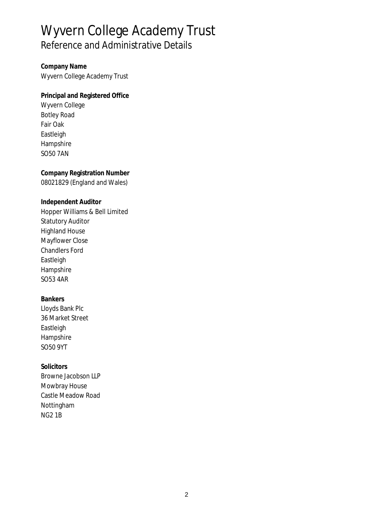# Wyvern College Academy Trust Reference and Administrative Details

**Company Name** Wyvern College Academy Trust

**Principal and Registered Office** Wyvern College Botley Road Fair Oak Eastleigh Hampshire SO50 7AN

**Company Registration Number** 08021829 (England and Wales)

**Independent Auditor** Hopper Williams & Bell Limited Statutory Auditor Highland House Mayflower Close Chandlers Ford **Eastleigh** Hampshire SO53 4AR

**Bankers** Lloyds Bank Plc 36 Market Street Eastleigh Hampshire SO50 9YT

**Solicitors** Browne Jacobson LLP Mowbray House Castle Meadow Road Nottingham NG2 1B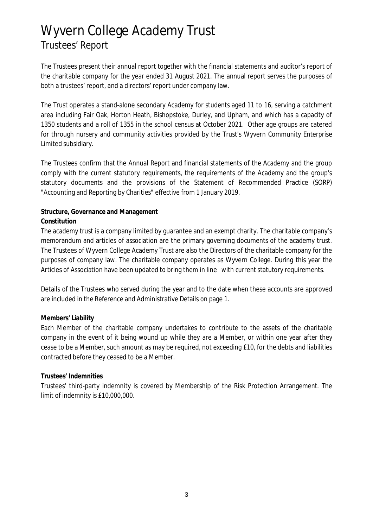The Trustees present their annual report together with the financial statements and auditor's report of the charitable company for the year ended 31 August 2021. The annual report serves the purposes of both a trustees' report, and a directors' report under company law.

The Trust operates a stand-alone secondary Academy for students aged 11 to 16, serving a catchment area including Fair Oak, Horton Heath, Bishopstoke, Durley, and Upham, and which has a capacity of 1350 students and a roll of 1355 in the school census at October 2021. Other age groups are catered for through nursery and community activities provided by the Trust's Wyvern Community Enterprise Limited subsidiary.

The Trustees confirm that the Annual Report and financial statements of the Academy and the group comply with the current statutory requirements, the requirements of the Academy and the group's statutory documents and the provisions of the Statement of Recommended Practice (SORP) "Accounting and Reporting by Charities" effective from 1 January 2019.

### **Structure, Governance and Management**

### **Constitution**

The academy trust is a company limited by guarantee and an exempt charity. The charitable company's memorandum and articles of association are the primary governing documents of the academy trust. The Trustees of Wyvern College Academy Trust are also the Directors of the charitable company for the purposes of company law. The charitable company operates as Wyvern College. During this year the Articles of Association have been updated to bring them in line with current statutory requirements.

Details of the Trustees who served during the year and to the date when these accounts are approved are included in the Reference and Administrative Details on page 1.

### **Members' Liability**

Each Member of the charitable company undertakes to contribute to the assets of the charitable company in the event of it being wound up while they are a Member, or within one year after they cease to be a Member, such amount as may be required, not exceeding £10, for the debts and liabilities contracted before they ceased to be a Member.

### **Trustees' Indemnities**

Trustees' third-party indemnity is covered by Membership of the Risk Protection Arrangement. The limit of indemnity is £10,000,000.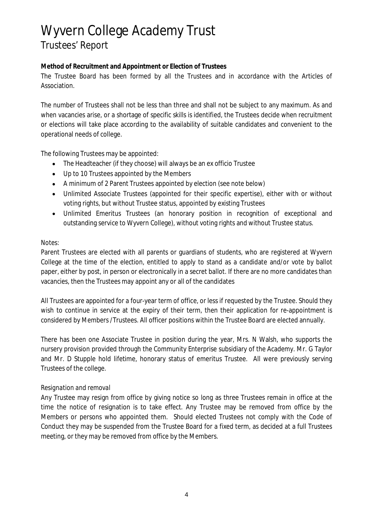### **Method of Recruitment and Appointment or Election of Trustees**

The Trustee Board has been formed by all the Trustees and in accordance with the Articles of Association.

The number of Trustees shall not be less than three and shall not be subject to any maximum. As and when vacancies arise, or a shortage of specific skills is identified, the Trustees decide when recruitment or elections will take place according to the availability of suitable candidates and convenient to the operational needs of college.

The following Trustees may be appointed:

- The Headteacher (if they choose) will always be an ex officio Trustee
- Up to 10 Trustees appointed by the Members  $\bullet$
- A minimum of 2 Parent Trustees appointed by election (see note below)
- Unlimited Associate Trustees (appointed for their specific expertise), either with or without voting rights, but without Trustee status, appointed by existing Trustees
- $\bullet$ Unlimited Emeritus Trustees (an honorary position in recognition of exceptional and outstanding service to Wyvern College), without voting rights and without Trustee status.

#### *Notes:*

Parent Trustees are elected with all parents or guardians of students, who are registered at Wyvern College at the time of the election, entitled to apply to stand as a candidate and/or vote by ballot paper, either by post, in person or electronically in a secret ballot. If there are no more candidates than vacancies, then the Trustees may appoint any or all of the candidates

All Trustees are appointed for a four-year term of office, or less if requested by the Trustee. Should they wish to continue in service at the expiry of their term, then their application for re-appointment is considered by Members /Trustees. All officer positions within the Trustee Board are elected annually.

There has been one Associate Trustee in position during the year, Mrs. N Walsh, who supports the nursery provision provided through the Community Enterprise subsidiary of the Academy. Mr. G Taylor and Mr. D Stupple hold lifetime, honorary status of emeritus Trustee. All were previously serving Trustees of the college.

### *Resignation and removal*

Any Trustee may resign from office by giving notice so long as three Trustees remain in office at the time the notice of resignation is to take effect. Any Trustee may be removed from office by the Members or persons who appointed them. Should elected Trustees not comply with the Code of Conduct they may be suspended from the Trustee Board for a fixed term, as decided at a full Trustees meeting, or they may be removed from office by the Members.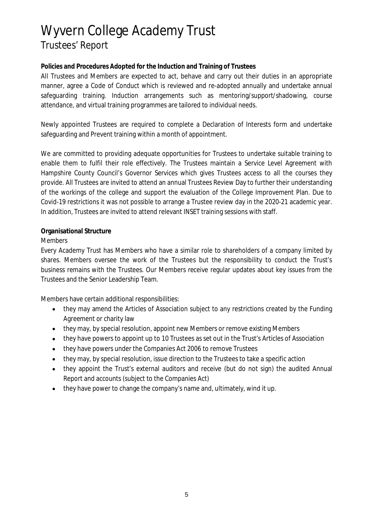**Policies and Procedures Adopted for the Induction and Training of Trustees**

All Trustees and Members are expected to act, behave and carry out their duties in an appropriate manner, agree a Code of Conduct which is reviewed and re-adopted annually and undertake annual safeguarding training. Induction arrangements such as mentoring/support/shadowing, course attendance, and virtual training programmes are tailored to individual needs.

Newly appointed Trustees are required to complete a Declaration of Interests form and undertake safeguarding and Prevent training within a month of appointment.

We are committed to providing adequate opportunities for Trustees to undertake suitable training to enable them to fulfil their role effectively. The Trustees maintain a Service Level Agreement with Hampshire County Council's Governor Services which gives Trustees access to all the courses they provide. All Trustees are invited to attend an annual Trustees Review Day to further their understanding of the workings of the college and support the evaluation of the College Improvement Plan. Due to Covid-19 restrictions it was not possible to arrange a Trustee review day in the 2020-21 academic year. In addition, Trustees are invited to attend relevant INSET training sessions with staff.

### **Organisational Structure**

### *Members*

Every Academy Trust has Members who have a similar role to shareholders of a company limited by shares. Members oversee the work of the Trustees but the responsibility to conduct the Trust's business remains with the Trustees. Our Members receive regular updates about key issues from the Trustees and the Senior Leadership Team.

Members have certain additional responsibilities:

- they may amend the Articles of Association subject to any restrictions created by the Funding Agreement or charity law
- they may, by special resolution, appoint new Members or remove existing Members
- they have powers to appoint up to 10 Trustees as set out in the Trust's Articles of Association
- they have powers under the Companies Act 2006 to remove Trustees
- they may, by special resolution, issue direction to the Trustees to take a specific action
- they appoint the Trust's external auditors and receive (but do not sign) the audited Annual  $\bullet$ Report and accounts (subject to the Companies Act)
- they have power to change the company's name and, ultimately, wind it up.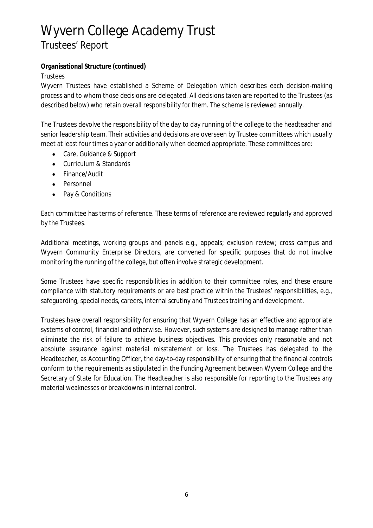**Organisational Structure (continued)**

*Trustees*

Wyvern Trustees have established a Scheme of Delegation which describes each decision-making process and to whom those decisions are delegated. All decisions taken are reported to the Trustees (as described below) who retain overall responsibility for them. The scheme is reviewed annually.

The Trustees devolve the responsibility of the day to day running of the college to the headteacher and senior leadership team. Their activities and decisions are overseen by Trustee committees which usually meet at least four times a year or additionally when deemed appropriate. These committees are:

- Care, Guidance & Support  $\bullet$
- Curriculum & Standards  $\bullet$
- Finance/Audit
- Personnel
- Pay & Conditions

Each committee has terms of reference. These terms of reference are reviewed regularly and approved by the Trustees.

Additional meetings, working groups and panels e.g., appeals; exclusion review; cross campus and Wyvern Community Enterprise Directors, are convened for specific purposes that do not involve monitoring the running of the college, but often involve strategic development.

Some Trustees have specific responsibilities in addition to their committee roles, and these ensure compliance with statutory requirements or are best practice within the Trustees' responsibilities, e.g., safeguarding, special needs, careers, internal scrutiny and Trustees training and development.

Trustees have overall responsibility for ensuring that Wyvern College has an effective and appropriate systems of control, financial and otherwise. However, such systems are designed to manage rather than eliminate the risk of failure to achieve business objectives. This provides only reasonable and not absolute assurance against material misstatement or loss. The Trustees has delegated to the Headteacher, as Accounting Officer, the day-to-day responsibility of ensuring that the financial controls conform to the requirements as stipulated in the Funding Agreement between Wyvern College and the Secretary of State for Education. The Headteacher is also responsible for reporting to the Trustees any material weaknesses or breakdowns in internal control.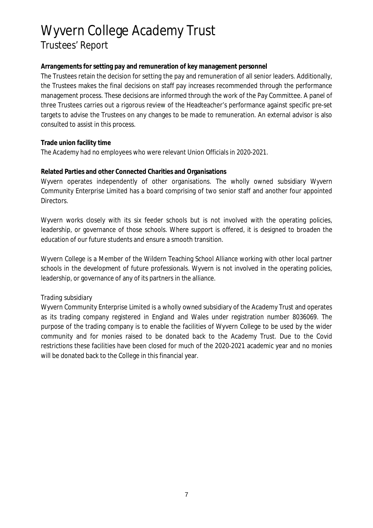**Arrangements for setting pay and remuneration of key management personnel**

The Trustees retain the decision for setting the pay and remuneration of all senior leaders. Additionally, the Trustees makes the final decisions on staff pay increases recommended through the performance management process. These decisions are informed through the work of the Pay Committee. A panel of three Trustees carries out a rigorous review of the Headteacher's performance against specific pre-set targets to advise the Trustees on any changes to be made to remuneration. An external advisor is also consulted to assist in this process.

**Trade union facility time**

The Academy had no employees who were relevant Union Officials in 2020-2021.

### **Related Parties and other Connected Charities and Organisations**

Wyvern operates independently of other organisations. The wholly owned subsidiary Wyvern Community Enterprise Limited has a board comprising of two senior staff and another four appointed Directors.

Wyvern works closely with its six feeder schools but is not involved with the operating policies, leadership, or governance of those schools. Where support is offered, it is designed to broaden the education of our future students and ensure a smooth transition.

Wyvern College is a Member of the Wildern Teaching School Alliance working with other local partner schools in the development of future professionals. Wyvern is not involved in the operating policies, leadership, or governance of any of its partners in the alliance.

### *Trading subsidiary*

Wyvern Community Enterprise Limited is a wholly owned subsidiary of the Academy Trust and operates as its trading company registered in England and Wales under registration number 8036069. The purpose of the trading company is to enable the facilities of Wyvern College to be used by the wider community and for monies raised to be donated back to the Academy Trust. Due to the Covid restrictions these facilities have been closed for much of the 2020-2021 academic year and no monies will be donated back to the College in this financial year.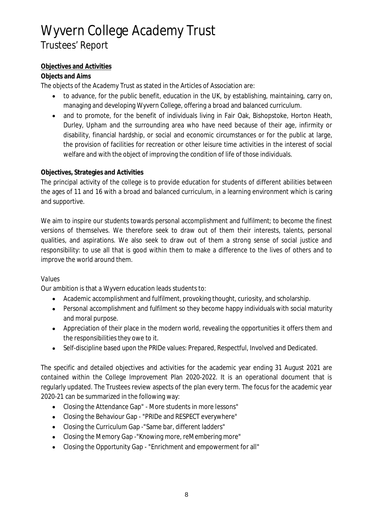### **Objectives and Activities**

### **Objects and Aims**

The objects of the Academy Trust as stated in the Articles of Association are:

- to advance, for the public benefit, education in the UK, by establishing, maintaining, carry on,  $\bullet$ managing and developing Wyvern College, offering a broad and balanced curriculum.
- and to promote, for the benefit of individuals living in Fair Oak, Bishopstoke, Horton Heath,  $\bullet$ Durley, Upham and the surrounding area who have need because of their age, infirmity or disability, financial hardship, or social and economic circumstances or for the public at large, the provision of facilities for recreation or other leisure time activities in the interest of social welfare and with the object of improving the condition of life of those individuals.

### **Objectives, Strategies and Activities**

The principal activity of the college is to provide education for students of different abilities between the ages of 11 and 16 with a broad and balanced curriculum, in a learning environment which is caring and supportive.

We aim to inspire our students towards personal accomplishment and fulfilment; to become the finest versions of themselves. We therefore seek to draw out of them their interests, talents, personal qualities, and aspirations. We also seek to draw out of them a strong sense of social justice and responsibility: to use all that is good within them to make a difference to the lives of others and to improve the world around them.

### *Values*

Our ambition is that a Wyvern education leads students to:

- Academic accomplishment and fulfilment, provoking thought, curiosity, and scholarship.
- Personal accomplishment and fulfilment so they become happy individuals with social maturity and moral purpose.
- Appreciation of their place in the modern world, revealing the opportunities it offers them and the responsibilities they owe to it.
- $\bullet$ Self-discipline based upon the PRIDe values: Prepared, Respectful, Involved and Dedicated.

The specific and detailed objectives and activities for the academic year ending 31 August 2021 are contained within the College Improvement Plan 2020-2022. It is an operational document that is regularly updated. The Trustees review aspects of the plan every term. The focus for the academic year 2020-21 can be summarized in the following way:

- Closing the Attendance Gap" More students in more lessons"
- Closing the Behaviour Gap "PRIDe and RESPECT everywhere"
- Closing the Curriculum Gap -"Same bar, different ladders"
- Closing the Memory Gap -"Knowing more, reMembering more"
- Closing the Opportunity Gap "Enrichment and empowerment for all"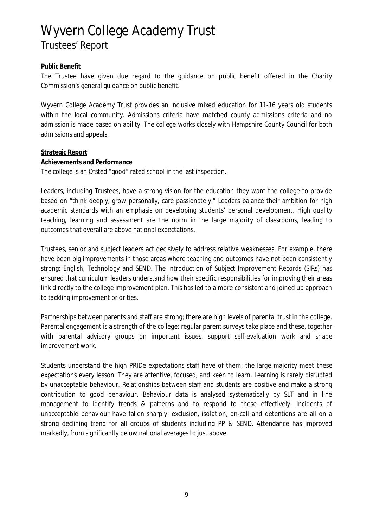#### **Public Benefit**

The Trustee have given due regard to the guidance on public benefit offered in the Charity Commission's general guidance on public benefit.

Wyvern College Academy Trust provides an inclusive mixed education for 11-16 years old students within the local community. Admissions criteria have matched county admissions criteria and no admission is made based on ability. The college works closely with Hampshire County Council for both admissions and appeals.

#### **Strategic Report Achievements and Performance**

The college is an Ofsted "good" rated school in the last inspection.

Leaders, including Trustees, have a strong vision for the education they want the college to provide based on "think deeply, grow personally, care passionately." Leaders balance their ambition for high academic standards with an emphasis on developing students' personal development. High quality teaching, learning and assessment are the norm in the large majority of classrooms, leading to outcomes that overall are above national expectations.

Trustees, senior and subject leaders act decisively to address relative weaknesses. For example, there have been big improvements in those areas where teaching and outcomes have not been consistently strong: English, Technology and SEND. The introduction of Subject Improvement Records (SIRs) has ensured that curriculum leaders understand how their specific responsibilities for improving their areas link directly to the college improvement plan. This has led to a more consistent and joined up approach to tackling improvement priorities.

Partnerships between parents and staff are strong; there are high levels of parental trust in the college. Parental engagement is a strength of the college: regular parent surveys take place and these, together with parental advisory groups on important issues, support self-evaluation work and shape improvement work.

Students understand the high PRIDe expectations staff have of them: the large majority meet these expectations every lesson. They are attentive, focused, and keen to learn. Learning is rarely disrupted by unacceptable behaviour. Relationships between staff and students are positive and make a strong contribution to good behaviour. Behaviour data is analysed systematically by SLT and in line management to identify trends & patterns and to respond to these effectively. Incidents of unacceptable behaviour have fallen sharply: exclusion, isolation, on-call and detentions are all on a strong declining trend for all groups of students including PP & SEND. Attendance has improved markedly, from significantly below national averages to just above.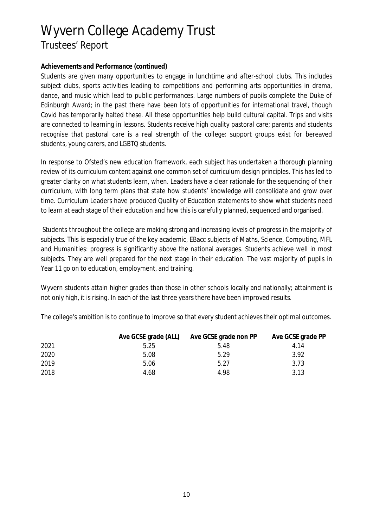#### **Achievements and Performance (continued)**

Students are given many opportunities to engage in lunchtime and after-school clubs. This includes subject clubs, sports activities leading to competitions and performing arts opportunities in drama, dance, and music which lead to public performances. Large numbers of pupils complete the Duke of Edinburgh Award; in the past there have been lots of opportunities for international travel, though Covid has temporarily halted these. All these opportunities help build cultural capital. Trips and visits are connected to learning in lessons. Students receive high quality pastoral care; parents and students recognise that pastoral care is a real strength of the college: support groups exist for bereaved students, young carers, and LGBTQ students.

In response to Ofsted's new education framework, each subject has undertaken a thorough planning review of its curriculum content against one common set of curriculum design principles. This has led to greater clarity on what students learn, when. Leaders have a clear rationale for the sequencing of their curriculum, with long term plans that state how students' knowledge will consolidate and grow over time. Curriculum Leaders have produced Quality of Education statements to show what students need to learn at each stage of their education and how this is carefully planned, sequenced and organised.

 Students throughout the college are making strong and increasing levels of progress in the majority of subjects. This is especially true of the key academic, EBacc subjects of Maths, Science, Computing, MFL and Humanities: progress is significantly above the national averages. Students achieve well in most subjects. They are well prepared for the next stage in their education. The vast majority of pupils in Year 11 go on to education, employment, and training.

Wyvern students attain higher grades than those in other schools locally and nationally; attainment is not only high, it is rising. In each of the last three years there have been improved results.

The college's ambition is to continue to improve so that every student achieves their optimal outcomes.

|      | Ave GCSE grade (ALL) | Ave GCSE grade non PP | Ave GCSE grade PP |
|------|----------------------|-----------------------|-------------------|
| 2021 | 5.25                 | 5.48                  | 4.14              |
| 2020 | 5.08                 | 5.29                  | 3.92              |
| 2019 | 5.06                 | 5.27                  | 3.73              |
| 2018 | 4.68                 | 4.98                  | 3.13              |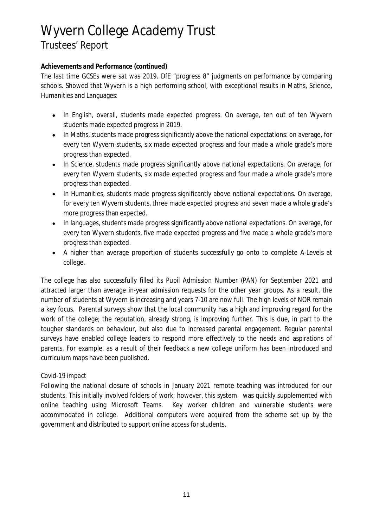### **Achievements and Performance (continued)**

The last time GCSEs were sat was 2019. DfE "progress 8" judgments on performance by comparing schools. Showed that Wyvern is a high performing school, with exceptional results in Maths, Science, Humanities and Languages:

- In English, overall, students made expected progress. On average, ten out of ten Wyvern  $\bullet$ students made expected progress in 2019.
- In Maths, students made progress significantly above the national expectations: on average, for  $\bullet$ every ten Wyvern students, six made expected progress and four made a whole grade's more progress than expected.
- In Science, students made progress significantly above national expectations. On average, for  $\bullet$ every ten Wyvern students, six made expected progress and four made a whole grade's more progress than expected.
- In Humanities, students made progress significantly above national expectations. On average,  $\bullet$ for every ten Wyvern students, three made expected progress and seven made a whole grade's more progress than expected.
- In languages, students made progress significantly above national expectations. On average, for  $\bullet$ every ten Wyvern students, five made expected progress and five made a whole grade's more progress than expected.
- A higher than average proportion of students successfully go onto to complete A-Levels at  $\bullet$ college.

The college has also successfully filled its Pupil Admission Number (PAN) for September 2021 and attracted larger than average in-year admission requests for the other year groups. As a result, the number of students at Wyvern is increasing and years 7-10 are now full. The high levels of NOR remain a key focus. Parental surveys show that the local community has a high and improving regard for the work of the college; the reputation, already strong, is improving further. This is due, in part to the tougher standards on behaviour, but also due to increased parental engagement. Regular parental surveys have enabled college leaders to respond more effectively to the needs and aspirations of parents. For example, as a result of their feedback a new college uniform has been introduced and curriculum maps have been published.

### *Covid-19 impact*

Following the national closure of schools in January 2021 remote teaching was introduced for our students. This initially involved folders of work; however, this system was quickly supplemented with online teaching using Microsoft Teams. Key worker children and vulnerable students were accommodated in college. Additional computers were acquired from the scheme set up by the government and distributed to support online access for students.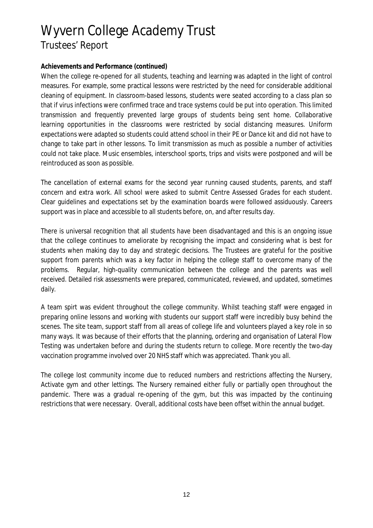#### **Achievements and Performance (continued)**

When the college re-opened for all students, teaching and learning was adapted in the light of control measures. For example, some practical lessons were restricted by the need for considerable additional cleaning of equipment. In classroom-based lessons, students were seated according to a class plan so that if virus infections were confirmed trace and trace systems could be put into operation. This limited transmission and frequently prevented large groups of students being sent home. Collaborative learning opportunities in the classrooms were restricted by social distancing measures. Uniform expectations were adapted so students could attend school in their PE or Dance kit and did not have to change to take part in other lessons. To limit transmission as much as possible a number of activities could not take place. Music ensembles, interschool sports, trips and visits were postponed and will be reintroduced as soon as possible.

The cancellation of external exams for the second year running caused students, parents, and staff concern and extra work. All school were asked to submit Centre Assessed Grades for each student. Clear guidelines and expectations set by the examination boards were followed assiduously. Careers support was in place and accessible to all students before, on, and after results day.

There is universal recognition that all students have been disadvantaged and this is an ongoing issue that the college continues to ameliorate by recognising the impact and considering what is best for students when making day to day and strategic decisions. The Trustees are grateful for the positive support from parents which was a key factor in helping the college staff to overcome many of the problems. Regular, high-quality communication between the college and the parents was well received. Detailed risk assessments were prepared, communicated, reviewed, and updated, sometimes daily.

A team spirt was evident throughout the college community. Whilst teaching staff were engaged in preparing online lessons and working with students our support staff were incredibly busy behind the scenes. The site team, support staff from all areas of college life and volunteers played a key role in so many ways. It was because of their efforts that the planning, ordering and organisation of Lateral Flow Testing was undertaken before and during the students return to college. More recently the two-day vaccination programme involved over 20 NHS staff which was appreciated. Thank you all.

The college lost community income due to reduced numbers and restrictions affecting the Nursery, Activate gym and other lettings. The Nursery remained either fully or partially open throughout the pandemic. There was a gradual re-opening of the gym, but this was impacted by the continuing restrictions that were necessary. Overall, additional costs have been offset within the annual budget.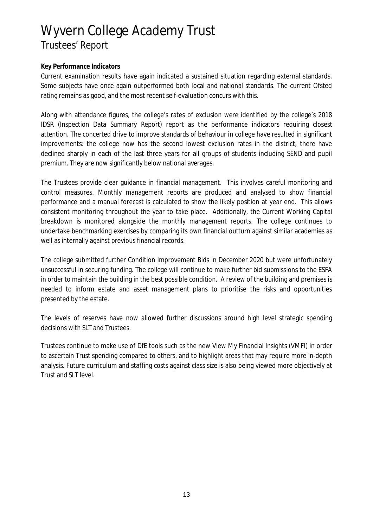#### **Key Performance Indicators**

Current examination results have again indicated a sustained situation regarding external standards. Some subjects have once again outperformed both local and national standards. The current Ofsted rating remains as good, and the most recent self-evaluation concurs with this.

Along with attendance figures, the college's rates of exclusion were identified by the college's 2018 IDSR (Inspection Data Summary Report) report as the performance indicators requiring closest attention. The concerted drive to improve standards of behaviour in college have resulted in significant improvements: the college now has the second lowest exclusion rates in the district; there have declined sharply in each of the last three years for all groups of students including SEND and pupil premium. They are now significantly below national averages.

The Trustees provide clear guidance in financial management. This involves careful monitoring and control measures. Monthly management reports are produced and analysed to show financial performance and a manual forecast is calculated to show the likely position at year end. This allows consistent monitoring throughout the year to take place. Additionally, the Current Working Capital breakdown is monitored alongside the monthly management reports. The college continues to undertake benchmarking exercises by comparing its own financial outturn against similar academies as well as internally against previous financial records.

The college submitted further Condition Improvement Bids in December 2020 but were unfortunately unsuccessful in securing funding. The college will continue to make further bid submissions to the ESFA in order to maintain the building in the best possible condition. A review of the building and premises is needed to inform estate and asset management plans to prioritise the risks and opportunities presented by the estate.

The levels of reserves have now allowed further discussions around high level strategic spending decisions with SLT and Trustees.

Trustees continue to make use of DfE tools such as the new View My Financial Insights (VMFI) in order to ascertain Trust spending compared to others, and to highlight areas that may require more in-depth analysis. Future curriculum and staffing costs against class size is also being viewed more objectively at Trust and SLT level.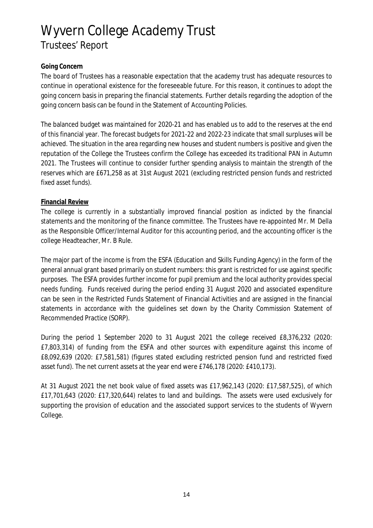### **Going Concern**

The board of Trustees has a reasonable expectation that the academy trust has adequate resources to continue in operational existence for the foreseeable future. For this reason, it continues to adopt the going concern basis in preparing the financial statements. Further details regarding the adoption of the going concern basis can be found in the Statement of Accounting Policies.

The balanced budget was maintained for 2020-21 and has enabled us to add to the reserves at the end of this financial year. The forecast budgets for 2021-22 and 2022-23 indicate that small surpluses will be achieved. The situation in the area regarding new houses and student numbers is positive and given the reputation of the College the Trustees confirm the College has exceeded its traditional PAN in Autumn 2021. The Trustees will continue to consider further spending analysis to maintain the strength of the reserves which are £671,258 as at 31st August 2021 (excluding restricted pension funds and restricted fixed asset funds).

#### **Financial Review**

The college is currently in a substantially improved financial position as indicted by the financial statements and the monitoring of the finance committee. The Trustees have re-appointed Mr. M Della as the Responsible Officer/Internal Auditor for this accounting period, and the accounting officer is the college Headteacher, Mr. B Rule.

The major part of the income is from the ESFA (Education and Skills Funding Agency) in the form of the general annual grant based primarily on student numbers: this grant is restricted for use against specific purposes. The ESFA provides further income for pupil premium and the local authority provides special needs funding. Funds received during the period ending 31 August 2020 and associated expenditure can be seen in the Restricted Funds Statement of Financial Activities and are assigned in the financial statements in accordance with the guidelines set down by the Charity Commission Statement of Recommended Practice (SORP).

During the period 1 September 2020 to 31 August 2021 the college received £8,376,232 (2020: £7,803,314) of funding from the ESFA and other sources with expenditure against this income of £8,092,639 (2020: £7,581,581) (figures stated excluding restricted pension fund and restricted fixed asset fund). The net current assets at the year end were £746,178 (2020: £410,173).

At 31 August 2021 the net book value of fixed assets was £17,962,143 (2020: £17,587,525), of which £17,701,643 (2020: £17,320,644) relates to land and buildings. The assets were used exclusively for supporting the provision of education and the associated support services to the students of Wyvern College.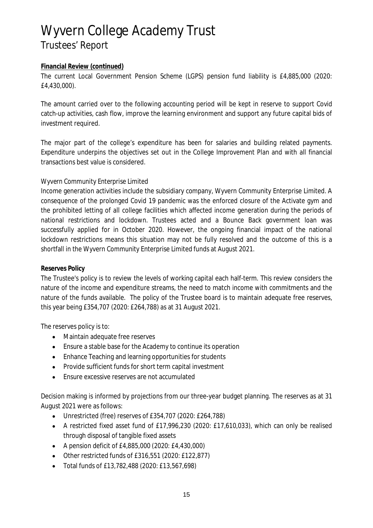#### **Financial Review (continued)**

The current Local Government Pension Scheme (LGPS) pension fund liability is £4,885,000 (2020: £4,430,000).

The amount carried over to the following accounting period will be kept in reserve to support Covid catch-up activities, cash flow, improve the learning environment and support any future capital bids of investment required.

The major part of the college's expenditure has been for salaries and building related payments. Expenditure underpins the objectives set out in the College Improvement Plan and with all financial transactions best value is considered.

#### *Wyvern Community Enterprise Limited*

Income generation activities include the subsidiary company, Wyvern Community Enterprise Limited. A consequence of the prolonged Covid 19 pandemic was the enforced closure of the Activate gym and the prohibited letting of all college facilities which affected income generation during the periods of national restrictions and lockdown. Trustees acted and a Bounce Back government loan was successfully applied for in October 2020. However, the ongoing financial impact of the national lockdown restrictions means this situation may not be fully resolved and the outcome of this is a shortfall in the Wyvern Community Enterprise Limited funds at August 2021.

#### **Reserves Policy**

The Trustee's policy is to review the levels of working capital each half-term. This review considers the nature of the income and expenditure streams, the need to match income with commitments and the nature of the funds available. The policy of the Trustee board is to maintain adequate free reserves, this year being £354,707 (2020: £264,788) as at 31 August 2021.

The reserves policy is to:

- Maintain adequate free reserves
- Ensure a stable base for the Academy to continue its operation
- Enhance Teaching and learning opportunities for students
- Provide sufficient funds for short term capital investment
- Ensure excessive reserves are not accumulated  $\bullet$

Decision making is informed by projections from our three-year budget planning. The reserves as at 31 August 2021 were as follows:

- Unrestricted (free) reserves of £354,707 (2020: £264,788)  $\bullet$
- A restricted fixed asset fund of £17,996,230 (2020: £17,610,033), which can only be realised through disposal of tangible fixed assets
- A pension deficit of £4,885,000 (2020: £4,430,000)
- Other restricted funds of £316,551 (2020: £122,877)
- Total funds of £13,782,488 (2020: £13,567,698)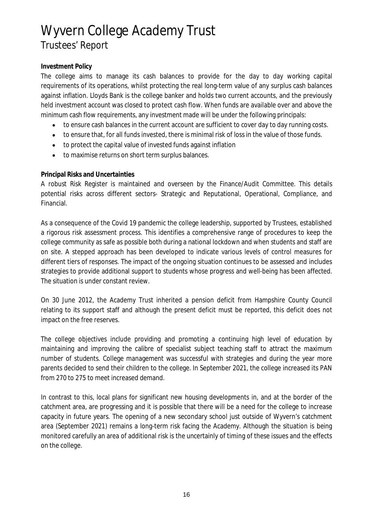### **Investment Policy**

The college aims to manage its cash balances to provide for the day to day working capital requirements of its operations, whilst protecting the real long-term value of any surplus cash balances against inflation. Lloyds Bank is the college banker and holds two current accounts, and the previously held investment account was closed to protect cash flow. When funds are available over and above the minimum cash flow requirements, any investment made will be under the following principals:

- to ensure cash balances in the current account are sufficient to cover day to day running costs.  $\bullet$
- to ensure that, for all funds invested, there is minimal risk of loss in the value of those funds.  $\bullet$
- to protect the capital value of invested funds against inflation
- to maximise returns on short term surplus balances.  $\bullet$

#### **Principal Risks and Uncertainties**

A robust Risk Register is maintained and overseen by the Finance/Audit Committee. This details potential risks across different sectors- Strategic and Reputational, Operational, Compliance, and Financial.

As a consequence of the Covid 19 pandemic the college leadership, supported by Trustees, established a rigorous risk assessment process. This identifies a comprehensive range of procedures to keep the college community as safe as possible both during a national lockdown and when students and staff are on site. A stepped approach has been developed to indicate various levels of control measures for different tiers of responses. The impact of the ongoing situation continues to be assessed and includes strategies to provide additional support to students whose progress and well-being has been affected. The situation is under constant review.

On 30 June 2012, the Academy Trust inherited a pension deficit from Hampshire County Council relating to its support staff and although the present deficit must be reported, this deficit does not impact on the free reserves.

The college objectives include providing and promoting a continuing high level of education by maintaining and improving the calibre of specialist subject teaching staff to attract the maximum number of students. College management was successful with strategies and during the year more parents decided to send their children to the college. In September 2021, the college increased its PAN from 270 to 275 to meet increased demand.

In contrast to this, local plans for significant new housing developments in, and at the border of the catchment area, are progressing and it is possible that there will be a need for the college to increase capacity in future years. The opening of a new secondary school just outside of Wyvern's catchment area (September 2021) remains a long-term risk facing the Academy. Although the situation is being monitored carefully an area of additional risk is the uncertainly of timing of these issues and the effects on the college.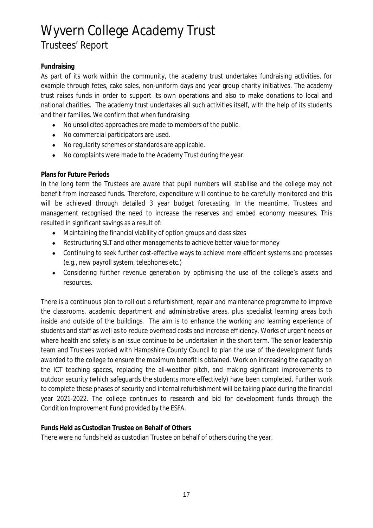### **Fundraising**

As part of its work within the community, the academy trust undertakes fundraising activities, for example through fetes, cake sales, non-uniform days and year group charity initiatives. The academy trust raises funds in order to support its own operations and also to make donations to local and national charities. The academy trust undertakes all such activities itself, with the help of its students and their families. We confirm that when fundraising:

- No unsolicited approaches are made to members of the public.  $\bullet$
- No commercial participators are used.  $\bullet$
- No regularity schemes or standards are applicable.
- No complaints were made to the Academy Trust during the year.  $\bullet$

### **Plans for Future Periods**

In the long term the Trustees are aware that pupil numbers will stabilise and the college may not benefit from increased funds. Therefore, expenditure will continue to be carefully monitored and this will be achieved through detailed 3 year budget forecasting. In the meantime, Trustees and management recognised the need to increase the reserves and embed economy measures. This resulted in significant savings as a result of:

- Maintaining the financial viability of option groups and class sizes  $\bullet$
- Restructuring SLT and other managements to achieve better value for money
- Continuing to seek further cost-effective ways to achieve more efficient systems and processes (e.g., new payroll system, telephones etc.)
- Considering further revenue generation by optimising the use of the college's assets and resources.

There is a continuous plan to roll out a refurbishment, repair and maintenance programme to improve the classrooms, academic department and administrative areas, plus specialist learning areas both inside and outside of the buildings. The aim is to enhance the working and learning experience of students and staff as well as to reduce overhead costs and increase efficiency. Works of urgent needs or where health and safety is an issue continue to be undertaken in the short term. The senior leadership team and Trustees worked with Hampshire County Council to plan the use of the development funds awarded to the college to ensure the maximum benefit is obtained. Work on increasing the capacity on the ICT teaching spaces, replacing the all-weather pitch, and making significant improvements to outdoor security (which safeguards the students more effectively) have been completed. Further work to complete these phases of security and internal refurbishment will be taking place during the financial year 2021-2022. The college continues to research and bid for development funds through the Condition Improvement Fund provided by the ESFA.

**Funds Held as Custodian Trustee on Behalf of Others**

There were no funds held as custodian Trustee on behalf of others during the year.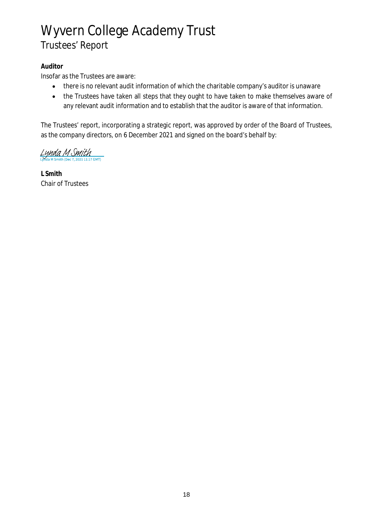### **Auditor**

Insofar as the Trustees are aware:

- there is no relevant audit information of which the charitable company's auditor is unaware  $\bullet$
- the Trustees have taken all steps that they ought to have taken to make themselves aware of  $\bullet$ any relevant audit information and to establish that the auditor is aware of that information.

The Trustees' report, incorporating a strategic report, was approved by order of the Board of Trustees, as the company directors, on 6 December 2021 and signed on the board's behalf by:

 $L$ *ynda M Smith* 

**L Smith** Chair of Trustees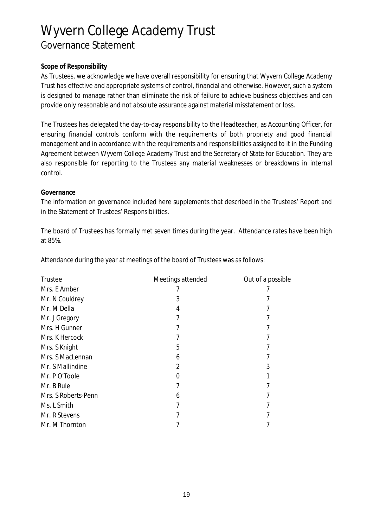#### **Scope of Responsibility**

As Trustees, we acknowledge we have overall responsibility for ensuring that Wyvern College Academy Trust has effective and appropriate systems of control, financial and otherwise. However, such a system is designed to manage rather than eliminate the risk of failure to achieve business objectives and can provide only reasonable and not absolute assurance against material misstatement or loss.

The Trustees has delegated the day-to-day responsibility to the Headteacher, as Accounting Officer, for ensuring financial controls conform with the requirements of both propriety and good financial management and in accordance with the requirements and responsibilities assigned to it in the Funding Agreement between Wyvern College Academy Trust and the Secretary of State for Education. They are also responsible for reporting to the Trustees any material weaknesses or breakdowns in internal control.

#### **Governance**

The information on governance included here supplements that described in the Trustees' Report and in the Statement of Trustees' Responsibilities.

The board of Trustees has formally met seven times during the year. Attendance rates have been high at 85%.

Attendance during the year at meetings of the board of Trustees was as follows:

| <b>Trustee</b>      | Meetings attended | Out of a possible |
|---------------------|-------------------|-------------------|
| Mrs. E Amber        |                   |                   |
| Mr. N Couldrey      | 3                 |                   |
| Mr. M Della         | 4                 |                   |
| Mr. J Gregory       |                   |                   |
| Mrs. H Gunner       |                   |                   |
| Mrs. K Hercock      |                   |                   |
| Mrs. S Knight       | 5                 |                   |
| Mrs. S MacLennan    | 6                 |                   |
| Mr. S Mallindine    | 2                 | 3                 |
| Mr. PO'Toole        |                   |                   |
| Mr. B Rule          |                   |                   |
| Mrs. S Roberts-Penn | 6                 |                   |
| Ms. L Smith         |                   |                   |
| Mr. R Stevens       |                   |                   |
| Mr. M Thornton      |                   |                   |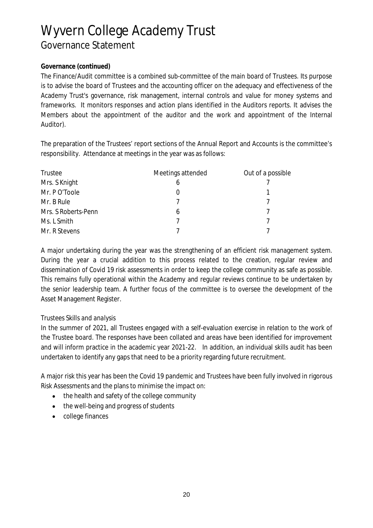### **Governance (continued)**

The Finance/Audit committee is a combined sub-committee of the main board of Trustees. Its purpose is to advise the board of Trustees and the accounting officer on the adequacy and effectiveness of the Academy Trust's governance, risk management, internal controls and value for money systems and frameworks. It monitors responses and action plans identified in the Auditors reports. It advises the Members about the appointment of the auditor and the work and appointment of the Internal Auditor).

The preparation of the Trustees' report sections of the Annual Report and Accounts is the committee's responsibility. Attendance at meetings in the year was as follows:

| Trustee             | Meetings attended | Out of a possible |
|---------------------|-------------------|-------------------|
| Mrs. S Knight       | b                 |                   |
| Mr. PO'Toole        | O                 |                   |
| Mr. B Rule          |                   |                   |
| Mrs. S Roberts-Penn | 6                 |                   |
| Ms. L Smith         |                   |                   |
| Mr. R Stevens       |                   |                   |

A major undertaking during the year was the strengthening of an efficient risk management system. During the year a crucial addition to this process related to the creation, regular review and dissemination of Covid 19 risk assessments in order to keep the college community as safe as possible. This remains fully operational within the Academy and regular reviews continue to be undertaken by the senior leadership team. A further focus of the committee is to oversee the development of the Asset Management Register.

### *Trustees Skills and analysis*

In the summer of 2021, all Trustees engaged with a self-evaluation exercise in relation to the work of the Trustee board. The responses have been collated and areas have been identified for improvement and will inform practice in the academic year 2021-22. In addition, an individual skills audit has been undertaken to identify any gaps that need to be a priority regarding future recruitment.

A major risk this year has been the Covid 19 pandemic and Trustees have been fully involved in rigorous Risk Assessments and the plans to minimise the impact on:

- the health and safety of the college community  $\bullet$
- the well-being and progress of students  $\bullet$
- college finances $\bullet$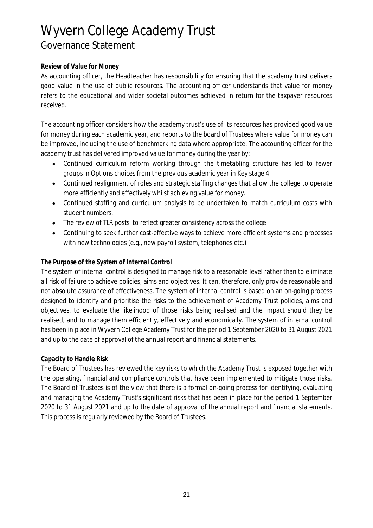### **Review of Value for Money**

As accounting officer, the Headteacher has responsibility for ensuring that the academy trust delivers good value in the use of public resources. The accounting officer understands that value for money refers to the educational and wider societal outcomes achieved in return for the taxpayer resources received.

The accounting officer considers how the academy trust's use of its resources has provided good value for money during each academic year, and reports to the board of Trustees where value for money can be improved, including the use of benchmarking data where appropriate. The accounting officer for the academy trust has delivered improved value for money during the year by:

- Continued curriculum reform working through the timetabling structure has led to fewer groups in Options choices from the previous academic year in Key stage 4
- Continued realignment of roles and strategic staffing changes that allow the college to operate more efficiently and effectively whilst achieving value for money.
- Continued staffing and curriculum analysis to be undertaken to match curriculum costs with  $\bullet$ student numbers.
- The review of TLR posts to reflect greater consistency across the college  $\bullet$
- Continuing to seek further cost-effective ways to achieve more efficient systems and processes with new technologies (e.g., new payroll system, telephones etc.)

### **The Purpose of the System of Internal Control**

The system of internal control is designed to manage risk to a reasonable level rather than to eliminate all risk of failure to achieve policies, aims and objectives. It can, therefore, only provide reasonable and not absolute assurance of effectiveness. The system of internal control is based on an on-going process designed to identify and prioritise the risks to the achievement of Academy Trust policies, aims and objectives, to evaluate the likelihood of those risks being realised and the impact should they be realised, and to manage them efficiently, effectively and economically. The system of internal control has been in place in Wyvern College Academy Trust for the period 1 September 2020 to 31 August 2021 and up to the date of approval of the annual report and financial statements.

### **Capacity to Handle Risk**

The Board of Trustees has reviewed the key risks to which the Academy Trust is exposed together with the operating, financial and compliance controls that have been implemented to mitigate those risks. The Board of Trustees is of the view that there is a formal on-going process for identifying, evaluating and managing the Academy Trust's significant risks that has been in place for the period 1 September 2020 to 31 August 2021 and up to the date of approval of the annual report and financial statements. This process is regularly reviewed by the Board of Trustees.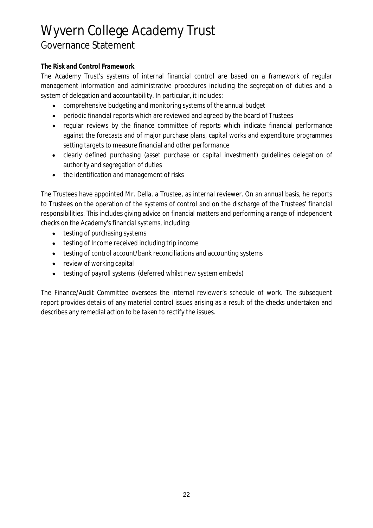### **The Risk and Control Framework**

The Academy Trust's systems of internal financial control are based on a framework of regular management information and administrative procedures including the segregation of duties and a system of delegation and accountability. In particular, it includes:

- comprehensive budgeting and monitoring systems of the annual budget
- periodic financial reports which are reviewed and agreed by the board of Trustees
- regular reviews by the finance committee of reports which indicate financial performance against the forecasts and of major purchase plans, capital works and expenditure programmes setting targets to measure financial and other performance
- clearly defined purchasing (asset purchase or capital investment) guidelines delegation of authority and segregation of duties
- the identification and management of risks

The Trustees have appointed Mr. Della, a Trustee, as internal reviewer. On an annual basis, he reports to Trustees on the operation of the systems of control and on the discharge of the Trustees' financial responsibilities. This includes giving advice on financial matters and performing a range of independent checks on the Academy's financial systems, including:

- testing of purchasing systems  $\bullet$
- **•** testing of Income received including trip income
- testing of control account/bank reconciliations and accounting systems
- review of working capital
- testing of payroll systems (deferred whilst new system embeds)  $\bullet$

The Finance/Audit Committee oversees the internal reviewer's schedule of work. The subsequent report provides details of any material control issues arising as a result of the checks undertaken and describes any remedial action to be taken to rectify the issues.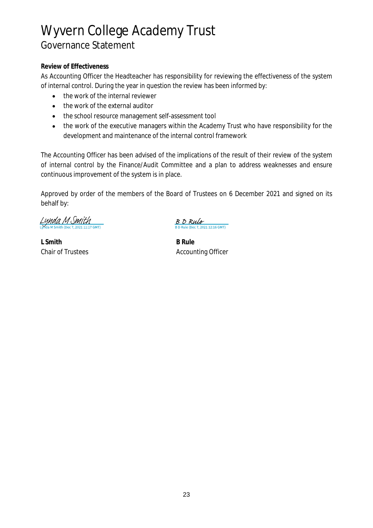### **Review of Effectiveness**

As Accounting Officer the Headteacher has responsibility for reviewing the effectiveness of the system of internal control. During the year in question the review has been informed by:

- the work of the internal reviewer  $\bullet$
- the work of the external auditor  $\bullet$
- the school resource management self-assessment tool
- the work of the executive managers within the Academy Trust who have responsibility for the development and maintenance of the internal control framework

The Accounting Officer has been advised of the implications of the result of their review of the system of internal control by the Finance/Audit Committee and a plan to address weaknesses and ensure continuous improvement of the system is in place.

Approved by order of the members of the Board of Trustees on 6 December 2021 and signed on its behalf by:

Lynda M Smith

**L Smith B Rule**

B D Rule ule (Dec 7, 2021 12:16 GMT)

Chair of Trustees **Accounting Officer** Accounting Officer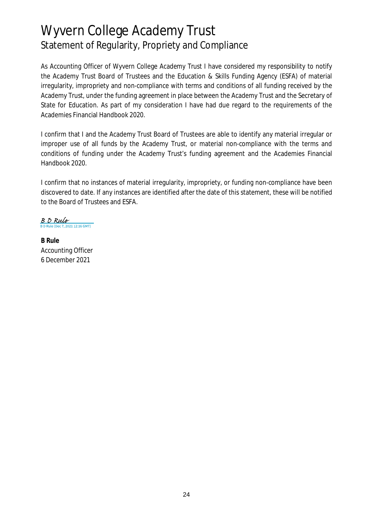# Wyvern College Academy Trust Statement of Regularity, Propriety and Compliance

As Accounting Officer of Wyvern College Academy Trust I have considered my responsibility to notify the Academy Trust Board of Trustees and the Education & Skills Funding Agency (ESFA) of material irregularity, impropriety and non-compliance with terms and conditions of all funding received by the Academy Trust, under the funding agreement in place between the Academy Trust and the Secretary of State for Education. As part of my consideration I have had due regard to the requirements of the Academies Financial Handbook 2020.

I confirm that I and the Academy Trust Board of Trustees are able to identify any material irregular or improper use of all funds by the Academy Trust, or material non-compliance with the terms and conditions of funding under the Academy Trust's funding agreement and the Academies Financial Handbook 2020.

I confirm that no instances of material irregularity, impropriety, or funding non-compliance have been discovered to date. If any instances are identified after the date of this statement, these will be notified to the Board of Trustees and ESFA.

 $\frac{B \cdot D \cdot Rule}{B \cdot D \cdot Rule (Dec 7, 2021 12:16 \cdot GMT)}$ 

**B Rule** Accounting Officer 6 December 2021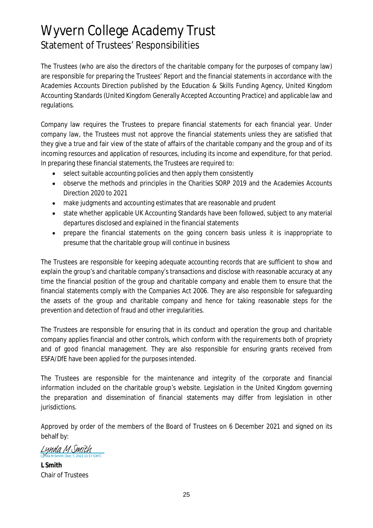# Wyvern College Academy Trust Statement of Trustees' Responsibilities

The Trustees (who are also the directors of the charitable company for the purposes of company law) are responsible for preparing the Trustees' Report and the financial statements in accordance with the Academies Accounts Direction published by the Education & Skills Funding Agency, United Kingdom Accounting Standards (United Kingdom Generally Accepted Accounting Practice) and applicable law and regulations.

Company law requires the Trustees to prepare financial statements for each financial year. Under company law, the Trustees must not approve the financial statements unless they are satisfied that they give a true and fair view of the state of affairs of the charitable company and the group and of its incoming resources and application of resources, including its income and expenditure, for that period. In preparing these financial statements, the Trustees are required to:

- select suitable accounting policies and then apply them consistently  $\bullet$
- observe the methods and principles in the Charities SORP 2019 and the Academies Accounts  $\bullet$ Direction 2020 to 2021
- make judgments and accounting estimates that are reasonable and prudent
- state whether applicable UK Accounting Standards have been followed, subject to any material  $\bullet$ departures disclosed and explained in the financial statements
- prepare the financial statements on the going concern basis unless it is inappropriate to presume that the charitable group will continue in business

The Trustees are responsible for keeping adequate accounting records that are sufficient to show and explain the group's and charitable company's transactions and disclose with reasonable accuracy at any time the financial position of the group and charitable company and enable them to ensure that the financial statements comply with the Companies Act 2006. They are also responsible for safeguarding the assets of the group and charitable company and hence for taking reasonable steps for the prevention and detection of fraud and other irregularities.

The Trustees are responsible for ensuring that in its conduct and operation the group and charitable company applies financial and other controls, which conform with the requirements both of propriety and of good financial management. They are also responsible for ensuring grants received from ESFA/DfE have been applied for the purposes intended.

The Trustees are responsible for the maintenance and integrity of the corporate and financial information included on the charitable group's website. Legislation in the United Kingdom governing the preparation and dissemination of financial statements may differ from legislation in other jurisdictions.

Approved by order of the members of the Board of Trustees on 6 December 2021 and signed on its behalf by:

Lynda M Smith

**L Smith** Chair of Trustees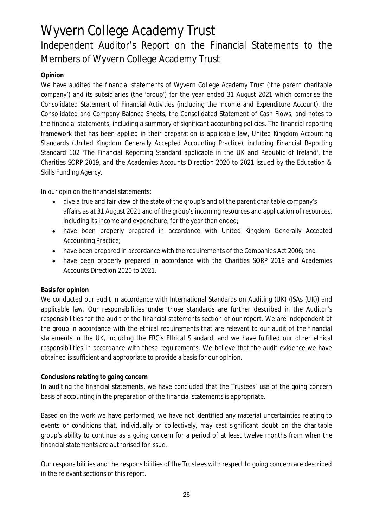# Independent Auditor's Report on the Financial Statements to the Members of Wyvern College Academy Trust

## **Opinion**

We have audited the financial statements of Wyvern College Academy Trust ('the parent charitable company') and its subsidiaries (the 'group') for the year ended 31 August 2021 which comprise the Consolidated Statement of Financial Activities (including the Income and Expenditure Account), the Consolidated and Company Balance Sheets, the Consolidated Statement of Cash Flows, and notes to the financial statements, including a summary of significant accounting policies. The financial reporting framework that has been applied in their preparation is applicable law, United Kingdom Accounting Standards (United Kingdom Generally Accepted Accounting Practice), including Financial Reporting Standard 102 'The Financial Reporting Standard applicable in the UK and Republic of Ireland', the Charities SORP 2019, and the Academies Accounts Direction 2020 to 2021 issued by the Education & Skills Funding Agency.

In our opinion the financial statements:

- $\bullet$ give a true and fair view of the state of the group's and of the parent charitable company's affairs as at 31 August 2021 and of the group's incoming resources and application of resources, including its income and expenditure, for the year then ended;
- have been properly prepared in accordance with United Kingdom Generally Accepted  $\bullet$ Accounting Practice;
- have been prepared in accordance with the requirements of the Companies Act 2006; and
- have been properly prepared in accordance with the Charities SORP 2019 and Academies Accounts Direction 2020 to 2021.

### **Basis for opinion**

We conducted our audit in accordance with International Standards on Auditing (UK) (ISAs (UK)) and applicable law. Our responsibilities under those standards are further described in the Auditor's responsibilities for the audit of the financial statements section of our report. We are independent of the group in accordance with the ethical requirements that are relevant to our audit of the financial statements in the UK, including the FRC's Ethical Standard, and we have fulfilled our other ethical responsibilities in accordance with these requirements. We believe that the audit evidence we have obtained is sufficient and appropriate to provide a basis for our opinion.

### **Conclusions relating to going concern**

In auditing the financial statements, we have concluded that the Trustees' use of the going concern basis of accounting in the preparation of the financial statements is appropriate.

Based on the work we have performed, we have not identified any material uncertainties relating to events or conditions that, individually or collectively, may cast significant doubt on the charitable group's ability to continue as a going concern for a period of at least twelve months from when the financial statements are authorised for issue.

Our responsibilities and the responsibilities of the Trustees with respect to going concern are described in the relevant sections of this report.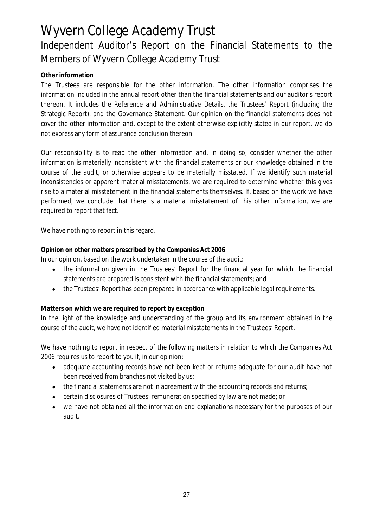# Wyvern College Academy Trust Independent Auditor's Report on the Financial Statements to the Members of Wyvern College Academy Trust

### **Other information**

The Trustees are responsible for the other information. The other information comprises the information included in the annual report other than the financial statements and our auditor's report thereon. It includes the Reference and Administrative Details, the Trustees' Report (including the Strategic Report), and the Governance Statement. Our opinion on the financial statements does not cover the other information and, except to the extent otherwise explicitly stated in our report, we do not express any form of assurance conclusion thereon.

Our responsibility is to read the other information and, in doing so, consider whether the other information is materially inconsistent with the financial statements or our knowledge obtained in the course of the audit, or otherwise appears to be materially misstated. If we identify such material inconsistencies or apparent material misstatements, we are required to determine whether this gives rise to a material misstatement in the financial statements themselves. If, based on the work we have performed, we conclude that there is a material misstatement of this other information, we are required to report that fact.

We have nothing to report in this regard.

**Opinion on other matters prescribed by the Companies Act 2006**

In our opinion, based on the work undertaken in the course of the audit:

- the information given in the Trustees' Report for the financial year for which the financial  $\bullet$ statements are prepared is consistent with the financial statements; and
- the Trustees' Report has been prepared in accordance with applicable legal requirements.

**Matters on which we are required to report by exception**

In the light of the knowledge and understanding of the group and its environment obtained in the course of the audit, we have not identified material misstatements in the Trustees' Report.

We have nothing to report in respect of the following matters in relation to which the Companies Act 2006 requires us to report to you if, in our opinion:

- adequate accounting records have not been kept or returns adequate for our audit have not  $\bullet$ been received from branches not visited by us;
- the financial statements are not in agreement with the accounting records and returns;
- certain disclosures of Trustees' remuneration specified by law are not made; or
- we have not obtained all the information and explanations necessary for the purposes of our audit.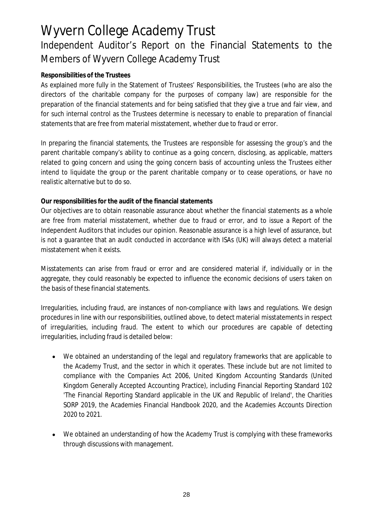# Wyvern College Academy Trust Independent Auditor's Report on the Financial Statements to the Members of Wyvern College Academy Trust

### **Responsibilities of the Trustees**

As explained more fully in the Statement of Trustees' Responsibilities, the Trustees (who are also the directors of the charitable company for the purposes of company law) are responsible for the preparation of the financial statements and for being satisfied that they give a true and fair view, and for such internal control as the Trustees determine is necessary to enable to preparation of financial statements that are free from material misstatement, whether due to fraud or error.

In preparing the financial statements, the Trustees are responsible for assessing the group's and the parent charitable company's ability to continue as a going concern, disclosing, as applicable, matters related to going concern and using the going concern basis of accounting unless the Trustees either intend to liquidate the group or the parent charitable company or to cease operations, or have no realistic alternative but to do so.

**Our responsibilities for the audit of the financial statements**

Our objectives are to obtain reasonable assurance about whether the financial statements as a whole are free from material misstatement, whether due to fraud or error, and to issue a Report of the Independent Auditors that includes our opinion. Reasonable assurance is a high level of assurance, but is not a guarantee that an audit conducted in accordance with ISAs (UK) will always detect a material misstatement when it exists.

Misstatements can arise from fraud or error and are considered material if, individually or in the aggregate, they could reasonably be expected to influence the economic decisions of users taken on the basis of these financial statements.

Irregularities, including fraud, are instances of non-compliance with laws and regulations. We design procedures in line with our responsibilities, outlined above, to detect material misstatements in respect of irregularities, including fraud. The extent to which our procedures are capable of detecting irregularities, including fraud is detailed below:

- We obtained an understanding of the legal and regulatory frameworks that are applicable to the Academy Trust, and the sector in which it operates. These include but are not limited to compliance with the Companies Act 2006, United Kingdom Accounting Standards (United Kingdom Generally Accepted Accounting Practice), including Financial Reporting Standard 102 'The Financial Reporting Standard applicable in the UK and Republic of Ireland', the Charities SORP 2019, the Academies Financial Handbook 2020, and the Academies Accounts Direction 2020 to 2021.
- We obtained an understanding of how the Academy Trust is complying with these frameworks  $\bullet$ through discussions with management.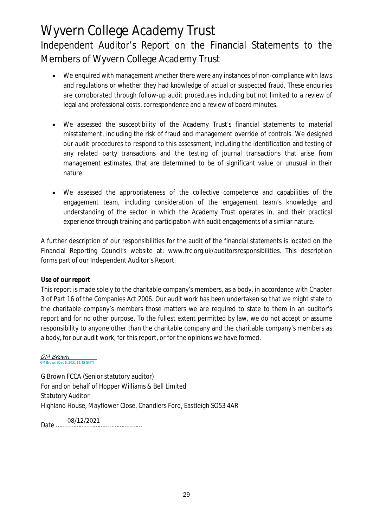# Wyvern College Academy Trust Independent Auditor's Report on the Financial Statements to the Members of Wyvern College Academy Trust

- We enquired with management whether there were any instances of non-compliance with laws  $\bullet$ and regulations or whether they had knowledge of actual or suspected fraud. These enquiries are corroborated through follow-up audit procedures including but not limited to a review of legal and professional costs, correspondence and a review of board minutes.
- We assessed the susceptibility of the Academy Trust's financial statements to material  $\bullet$ misstatement, including the risk of fraud and management override of controls. We designed our audit procedures to respond to this assessment, including the identification and testing of any related party transactions and the testing of journal transactions that arise from management estimates, that are determined to be of significant value or unusual in their nature.
- We assessed the appropriateness of the collective competence and capabilities of the  $\bullet$ engagement team, including consideration of the engagement team's knowledge and understanding of the sector in which the Academy Trust operates in, and their practical experience through training and participation with audit engagements of a similar nature.

A further description of our responsibilities for the audit of the financial statements is located on the Financial Reporting Council's website at: www.frc.org.uk/auditorsresponsibilities. This description forms part of our Independent Auditor's Report.

### **Use of our report**

This report is made solely to the charitable company's members, as a body, in accordance with Chapter 3 of Part 16 of the Companies Act 2006. Our audit work has been undertaken so that we might state to the charitable company's members those matters we are required to state to them in an auditor's report and for no other purpose. To the fullest extent permitted by law, we do not accept or assume responsibility to anyone other than the charitable company and the charitable company's members as a body, for our audit work, for this report, or for the opinions we have formed.

#### GM Brown M Brown (Dec 8, 2021 11:45 GMT)

G Brown FCCA (Senior statutory auditor) For and on behalf of Hopper Williams & Bell Limited Statutory Auditor Highland House, Mayflower Close, Chandlers Ford, Eastleigh SO53 4AR

08/12/2021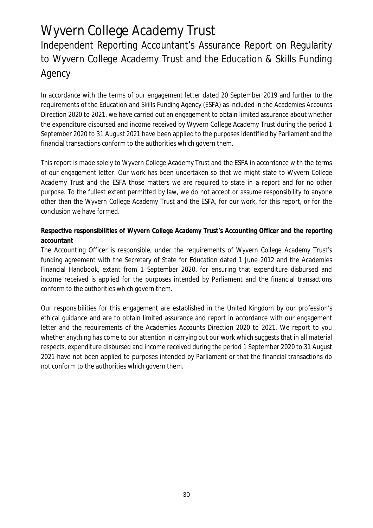# Independent Reporting Accountant's Assurance Report on Regularity to Wyvern College Academy Trust and the Education & Skills Funding Agency

In accordance with the terms of our engagement letter dated 20 September 2019 and further to the requirements of the Education and Skills Funding Agency (ESFA) as included in the Academies Accounts Direction 2020 to 2021, we have carried out an engagement to obtain limited assurance about whether the expenditure disbursed and income received by Wyvern College Academy Trust during the period 1 September 2020 to 31 August 2021 have been applied to the purposes identified by Parliament and the financial transactions conform to the authorities which govern them.

This report is made solely to Wyvern College Academy Trust and the ESFA in accordance with the terms of our engagement letter. Our work has been undertaken so that we might state to Wyvern College Academy Trust and the ESFA those matters we are required to state in a report and for no other purpose. To the fullest extent permitted by law, we do not accept or assume responsibility to anyone other than the Wyvern College Academy Trust and the ESFA, for our work, for this report, or for the conclusion we have formed.

**Respective responsibilities of Wyvern College Academy Trust's Accounting Officer and the reporting accountant**

The Accounting Officer is responsible, under the requirements of Wyvern College Academy Trust's funding agreement with the Secretary of State for Education dated 1 June 2012 and the Academies Financial Handbook, extant from 1 September 2020, for ensuring that expenditure disbursed and income received is applied for the purposes intended by Parliament and the financial transactions conform to the authorities which govern them.

Our responsibilities for this engagement are established in the United Kingdom by our profession's ethical guidance and are to obtain limited assurance and report in accordance with our engagement letter and the requirements of the Academies Accounts Direction 2020 to 2021. We report to you whether anything has come to our attention in carrying out our work which suggests that in all material respects, expenditure disbursed and income received during the period 1 September 2020 to 31 August 2021 have not been applied to purposes intended by Parliament or that the financial transactions do not conform to the authorities which govern them.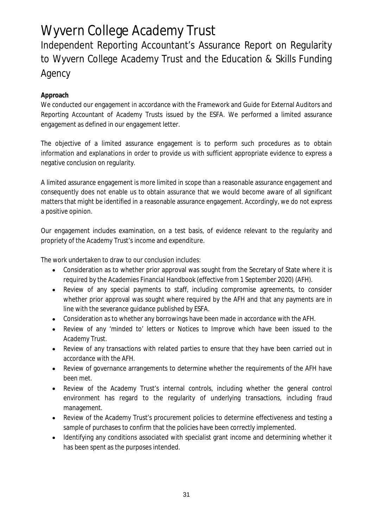Independent Reporting Accountant's Assurance Report on Regularity to Wyvern College Academy Trust and the Education & Skills Funding Agency

### **Approach**

We conducted our engagement in accordance with the Framework and Guide for External Auditors and Reporting Accountant of Academy Trusts issued by the ESFA. We performed a limited assurance engagement as defined in our engagement letter.

The objective of a limited assurance engagement is to perform such procedures as to obtain information and explanations in order to provide us with sufficient appropriate evidence to express a negative conclusion on regularity.

A limited assurance engagement is more limited in scope than a reasonable assurance engagement and consequently does not enable us to obtain assurance that we would become aware of all significant matters that might be identified in a reasonable assurance engagement. Accordingly, we do not express a positive opinion.

Our engagement includes examination, on a test basis, of evidence relevant to the regularity and propriety of the Academy Trust's income and expenditure.

The work undertaken to draw to our conclusion includes:

- Consideration as to whether prior approval was sought from the Secretary of State where it is required by the Academies Financial Handbook (effective from 1 September 2020) (AFH).
- Review of any special payments to staff, including compromise agreements, to consider whether prior approval was sought where required by the AFH and that any payments are in line with the severance guidance published by ESFA.
- Consideration as to whether any borrowings have been made in accordance with the AFH.  $\bullet$
- Review of any 'minded to' letters or Notices to Improve which have been issued to the Academy Trust.
- Review of any transactions with related parties to ensure that they have been carried out in accordance with the AFH.
- Review of governance arrangements to determine whether the requirements of the AFH have  $\bullet$ been met.
- Review of the Academy Trust's internal controls, including whether the general control environment has regard to the regularity of underlying transactions, including fraud management.
- Review of the Academy Trust's procurement policies to determine effectiveness and testing a  $\bullet$ sample of purchases to confirm that the policies have been correctly implemented.
- Identifying any conditions associated with specialist grant income and determining whether it  $\bullet$ has been spent as the purposes intended.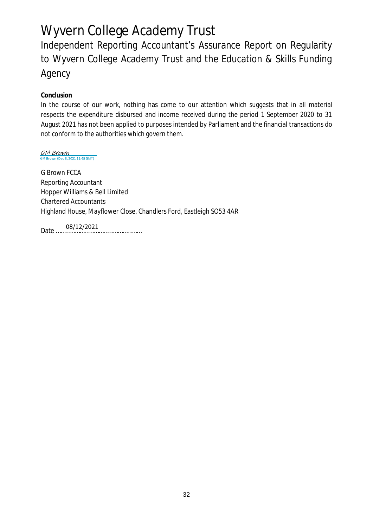Independent Reporting Accountant's Assurance Report on Regularity to Wyvern College Academy Trust and the Education & Skills Funding Agency

**Conclusion**

In the course of our work, nothing has come to our attention which suggests that in all material respects the expenditure disbursed and income received during the period 1 September 2020 to 31 August 2021 has not been applied to purposes intended by Parliament and the financial transactions do not conform to the authorities which govern them.

GM Brown GM Brown (Dec 8, 2021 11:45 GMT)

G Brown FCCA Reporting Accountant Hopper Williams & Bell Limited Chartered Accountants Highland House, Mayflower Close, Chandlers Ford, Eastleigh SO53 4AR

Date <sup>08/12/2021</sup>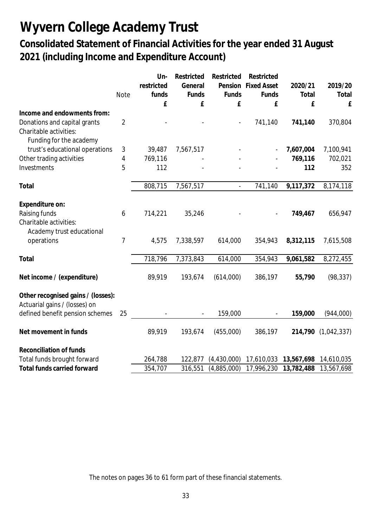**Consolidated Statement of Financial Activities for the year ended 31 August 2021 (including Income and Expenditure Account)**

| Un-<br>Restricted<br>Restricted<br>Restricted                                                |                        |
|----------------------------------------------------------------------------------------------|------------------------|
| Pension Fixed Asset<br>restricted<br>General                                                 | 2019/20<br>2020/21     |
| <b>Note</b><br>funds<br>Funds<br>Funds<br>Funds                                              | Total<br>Total         |
| £<br>£<br>£<br>£                                                                             | £<br>£                 |
| Income and endowments from:                                                                  |                        |
| $\overline{2}$<br>Donations and capital grants<br>741,140<br>$\overline{\phantom{a}}$        | 370,804<br>741,140     |
| Charitable activities:                                                                       |                        |
| Funding for the academy                                                                      |                        |
| trust's educational operations<br>$\sqrt{3}$<br>39,487<br>7,567,517                          | 7,607,004<br>7,100,941 |
| Other trading activities<br>769,116<br>4                                                     | 769,116<br>702,021     |
| 5<br>Investments<br>112                                                                      | 112<br>352             |
|                                                                                              |                        |
| 808,715<br>7,567,517<br>741,140<br>Total<br>$\blacksquare$                                   | 9,117,372<br>8,174,118 |
|                                                                                              |                        |
| Expenditure on:                                                                              |                        |
| Raising funds<br>6<br>714,221<br>35,246                                                      | 656,947<br>749,467     |
| Charitable activities:                                                                       |                        |
| Academy trust educational                                                                    |                        |
| $\overline{7}$<br>operations<br>4,575<br>7,338,597<br>614,000<br>354,943                     | 8,312,115<br>7,615,508 |
|                                                                                              |                        |
| 718,796<br>Total<br>7,373,843<br>614,000<br>354,943                                          | 9,061,582<br>8,272,455 |
|                                                                                              |                        |
| Net income / (expenditure)<br>89,919<br>193,674<br>(614,000)<br>386,197                      | (98, 337)<br>55,790    |
|                                                                                              |                        |
| Other recognised gains / (losses):                                                           |                        |
| Actuarial gains / (losses) on<br>25<br>159,000                                               | 159,000                |
| defined benefit pension schemes                                                              | (944,000)              |
| Net movement in funds<br>(455,000)<br>89,919<br>193,674<br>386,197                           | (1,042,337)<br>214,790 |
|                                                                                              |                        |
| Reconciliation of funds                                                                      |                        |
| Total funds brought forward<br>264,788<br>(4,430,000)<br>17,610,033<br>13,567,698<br>122,877 | 14,610,035             |
| (4,885,000)<br>17,996,230<br>Total funds carried forward<br>354,707<br>316,551<br>13,782,488 | 13,567,698             |

The notes on pages 36 to 61 form part of these financial statements.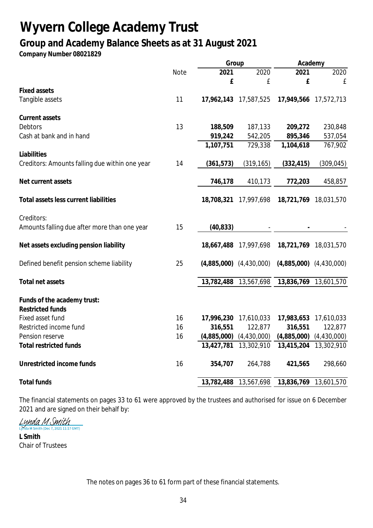## **Group and Academy Balance Sheets as at 31 August 2021**

**Company Number 08021829**

|                                                |      | Group       |                             | Academy                     |                       |
|------------------------------------------------|------|-------------|-----------------------------|-----------------------------|-----------------------|
|                                                | Note | 2021        | 2020                        | 2021                        | 2020                  |
|                                                |      | £           | £                           | £                           | £                     |
| <b>Fixed assets</b>                            |      |             |                             |                             |                       |
| Tangible assets                                | 11   | 17,962,143  | 17,587,525                  |                             | 17,949,566 17,572,713 |
| Current assets                                 |      |             |                             |                             |                       |
| <b>Debtors</b>                                 | 13   | 188,509     | 187,133                     | 209,272                     | 230,848               |
| Cash at bank and in hand                       |      | 919,242     | 542,205                     | 895,346                     | 537,054               |
|                                                |      | 1,107,751   | 729,338                     | 1,104,618                   | 767,902               |
| Liabilities                                    |      |             |                             |                             |                       |
| Creditors: Amounts falling due within one year | 14   | (361, 573)  | (319, 165)                  | (332, 415)                  | (309, 045)            |
| Net current assets                             |      | 746,178     | 410,173                     | 772,203                     | 458,857               |
|                                                |      |             |                             |                             |                       |
| Total assets less current liabilities          |      | 18,708,321  | 17,997,698                  |                             | 18,721,769 18,031,570 |
| Creditors:                                     |      |             |                             |                             |                       |
| Amounts falling due after more than one year   | 15   | (40, 833)   |                             |                             |                       |
| Net assets excluding pension liability         |      | 18,667,488  | 17,997,698                  |                             | 18,721,769 18,031,570 |
| Defined benefit pension scheme liability       | 25   |             | $(4,885,000)$ $(4,430,000)$ | $(4,885,000)$ $(4,430,000)$ |                       |
| Total net assets                               |      | 13,782,488  | 13,567,698                  | 13,836,769                  | 13,601,570            |
|                                                |      |             |                             |                             |                       |
| Funds of the academy trust:                    |      |             |                             |                             |                       |
| <b>Restricted funds</b>                        |      |             |                             |                             |                       |
| Fixed asset fund                               | 16   | 17,996,230  | 17,610,033                  | 17,983,653                  | 17,610,033            |
| Restricted income fund                         | 16   | 316,551     | 122,877                     | 316,551                     | 122,877               |
| Pension reserve                                | 16   | (4,885,000) | (4,430,000)                 | (4,885,000)                 | (4,430,000)           |
| <b>Total restricted funds</b>                  |      | 13,427,781  | 13,302,910                  | 13,415,204                  | 13,302,910            |
| Unrestricted income funds                      | 16   | 354,707     | 264,788                     | 421,565                     | 298,660               |
| <b>Total funds</b>                             |      | 13,782,488  | 13,567,698                  | 13,836,769                  | 13,601,570            |

The financial statements on pages 33 to 61 were approved by the trustees and authorised for issue on 6 December 2021 and are signed on their behalf by:<br>  $\frac{\frac{L}{4}MMA M \sinh(p_{\text{ee 7}})}{M_{\text{th}}M}$ 

da M Smith (Dec 7, 2021 11:17 GMT)

**L Smith** Chair of Trustees

The notes on pages 36 to 61 form part of these financial statements.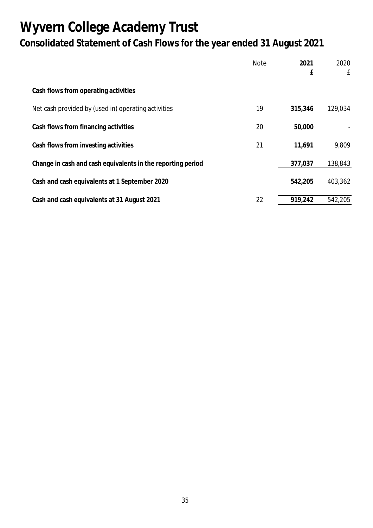# **Wyvern College Academy Trust Consolidated Statement of Cash Flows for the year ended 31 August 2021**

|                                                             | <b>Note</b> | 2021<br>£ | 2020<br>£ |
|-------------------------------------------------------------|-------------|-----------|-----------|
| Cash flows from operating activities                        |             |           |           |
| Net cash provided by (used in) operating activities         | 19          | 315,346   | 129,034   |
| Cash flows from financing activities                        | 20          | 50,000    |           |
| Cash flows from investing activities                        | 21          | 11,691    | 9,809     |
| Change in cash and cash equivalents in the reporting period |             | 377,037   | 138,843   |
| Cash and cash equivalents at 1 September 2020               |             | 542,205   | 403,362   |
| Cash and cash equivalents at 31 August 2021                 | 22          | 919,242   | 542.205   |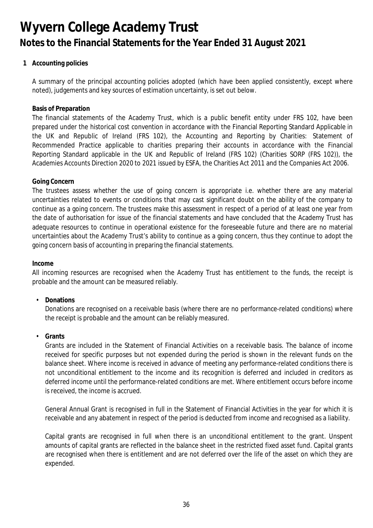**1 Accounting policies**

A summary of the principal accounting policies adopted (which have been applied consistently, except where noted), judgements and key sources of estimation uncertainty, is set out below.

#### **Basis of Preparation**

The financial statements of the Academy Trust, which is a public benefit entity under FRS 102, have been prepared under the historical cost convention in accordance with the Financial Reporting Standard Applicable in the UK and Republic of Ireland (FRS 102), the Accounting and Reporting by Charities: Statement of Recommended Practice applicable to charities preparing their accounts in accordance with the Financial Reporting Standard applicable in the UK and Republic of Ireland (FRS 102) (Charities SORP (FRS 102)), the Academies Accounts Direction 2020 to 2021 issued by ESFA, the Charities Act 2011 and the Companies Act 2006.

#### **Going Concern**

The trustees assess whether the use of going concern is appropriate i.e. whether there are any material uncertainties related to events or conditions that may cast significant doubt on the ability of the company to continue as a going concern. The trustees make this assessment in respect of a period of at least one year from the date of authorisation for issue of the financial statements and have concluded that the Academy Trust has adequate resources to continue in operational existence for the foreseeable future and there are no material uncertainties about the Academy Trust's ability to continue as a going concern, thus they continue to adopt the going concern basis of accounting in preparing the financial statements.

**Income**

All incoming resources are recognised when the Academy Trust has entitlement to the funds, the receipt is probable and the amount can be measured reliably.

• **Donations**

Donations are recognised on a receivable basis (where there are no performance-related conditions) where the receipt is probable and the amount can be reliably measured.

• **Grants**

Grants are included in the Statement of Financial Activities on a receivable basis. The balance of income received for specific purposes but not expended during the period is shown in the relevant funds on the balance sheet. Where income is received in advance of meeting any performance-related conditions there is not unconditional entitlement to the income and its recognition is deferred and included in creditors as deferred income until the performance-related conditions are met. Where entitlement occurs before income is received, the income is accrued.

General Annual Grant is recognised in full in the Statement of Financial Activities in the year for which it is receivable and any abatement in respect of the period is deducted from income and recognised as a liability.

Capital grants are recognised in full when there is an unconditional entitlement to the grant. Unspent amounts of capital grants are reflected in the balance sheet in the restricted fixed asset fund. Capital grants are recognised when there is entitlement and are not deferred over the life of the asset on which they are expended.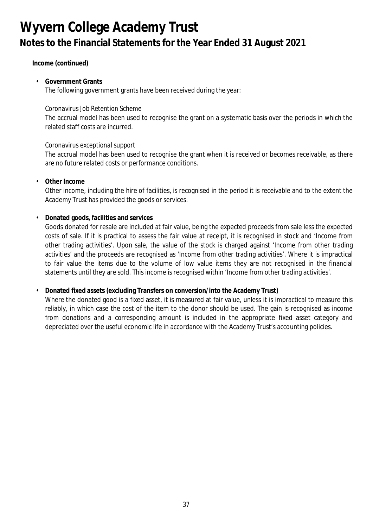**Income (continued)**

• **Government Grants** The following government grants have been received during the year:

### *Coronavirus Job Retention Scheme*

The accrual model has been used to recognise the grant on a systematic basis over the periods in which the related staff costs are incurred.

### *Coronavirus exceptional support*

The accrual model has been used to recognise the grant when it is received or becomes receivable, as there are no future related costs or performance conditions.

• **Other Income**

Other income, including the hire of facilities, is recognised in the period it is receivable and to the extent the Academy Trust has provided the goods or services.

• **Donated goods, facilities and services**

Goods donated for resale are included at fair value, being the expected proceeds from sale less the expected costs of sale. If it is practical to assess the fair value at receipt, it is recognised in stock and 'Income from other trading activities'. Upon sale, the value of the stock is charged against 'Income from other trading activities' and the proceeds are recognised as 'Income from other trading activities'. Where it is impractical to fair value the items due to the volume of low value items they are not recognised in the financial statements until they are sold. This income is recognised within 'Income from other trading activities'.

### • **Donated fixed assets (excluding Transfers on conversion/into the Academy Trust)**

Where the donated good is a fixed asset, it is measured at fair value, unless it is impractical to measure this reliably, in which case the cost of the item to the donor should be used. The gain is recognised as income from donations and a corresponding amount is included in the appropriate fixed asset category and depreciated over the useful economic life in accordance with the Academy Trust's accounting policies.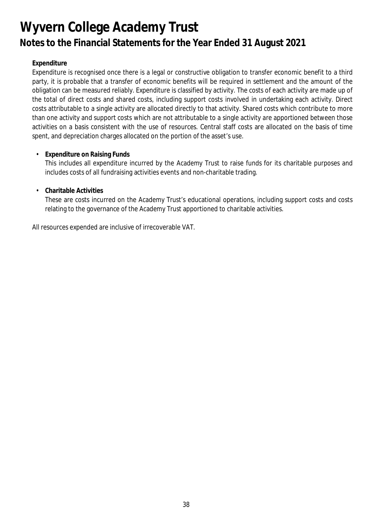### **Expenditure**

Expenditure is recognised once there is a legal or constructive obligation to transfer economic benefit to a third party, it is probable that a transfer of economic benefits will be required in settlement and the amount of the obligation can be measured reliably. Expenditure is classified by activity. The costs of each activity are made up of the total of direct costs and shared costs, including support costs involved in undertaking each activity. Direct costs attributable to a single activity are allocated directly to that activity. Shared costs which contribute to more than one activity and support costs which are not attributable to a single activity are apportioned between those activities on a basis consistent with the use of resources. Central staff costs are allocated on the basis of time spent, and depreciation charges allocated on the portion of the asset's use.

• **Expenditure on Raising Funds**

This includes all expenditure incurred by the Academy Trust to raise funds for its charitable purposes and includes costs of all fundraising activities events and non-charitable trading.

### • **Charitable Activities**

These are costs incurred on the Academy Trust's educational operations, including support costs and costs relating to the governance of the Academy Trust apportioned to charitable activities.

All resources expended are inclusive of irrecoverable VAT.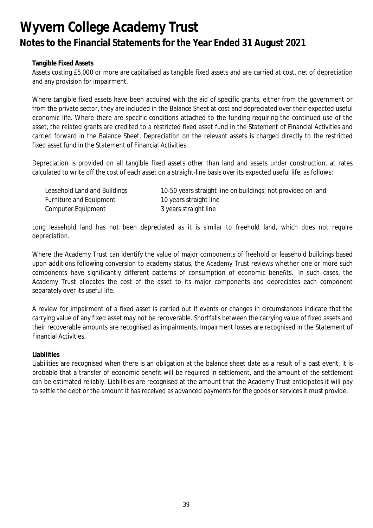#### **Tangible Fixed Assets**

Assets costing £5,000 or more are capitalised as tangible fixed assets and are carried at cost, net of depreciation and any provision for impairment.

Where tangible fixed assets have been acquired with the aid of specific grants, either from the government or from the private sector, they are included in the Balance Sheet at cost and depreciated over their expected useful economic life. Where there are specific conditions attached to the funding requiring the continued use of the asset, the related grants are credited to a restricted fixed asset fund in the Statement of Financial Activities and carried forward in the Balance Sheet. Depreciation on the relevant assets is charged directly to the restricted fixed asset fund in the Statement of Financial Activities.

Depreciation is provided on all tangible fixed assets other than land and assets under construction, at rates calculated to write off the cost of each asset on a straight-line basis over its expected useful life, as follows:

| Leasehold Land and Buildings | 10-50 years straight line on buildings; not provided on land |
|------------------------------|--------------------------------------------------------------|
| Furniture and Equipment      | 10 years straight line                                       |
| Computer Equipment           | 3 years straight line                                        |

Long leasehold land has not been depreciated as it is similar to freehold land, which does not require depreciation.

Where the Academy Trust can identify the value of major components of freehold or leasehold buildings based upon additions following conversion to academy status, the Academy Trust reviews whether one or more such components have significantly different patterns of consumption of economic benefits. In such cases, the Academy Trust allocates the cost of the asset to its major components and depreciates each component separately over its useful life.

A review for impairment of a fixed asset is carried out if events or changes in circumstances indicate that the carrying value of any fixed asset may not be recoverable. Shortfalls between the carrying value of fixed assets and their recoverable amounts are recognised as impairments. Impairment losses are recognised in the Statement of Financial Activities.

**Liabilities**

Liabilities are recognised when there is an obligation at the balance sheet date as a result of a past event, it is probable that a transfer of economic benefit will be required in settlement, and the amount of the settlement can be estimated reliably. Liabilities are recognised at the amount that the Academy Trust anticipates it will pay to settle the debt or the amount it has received as advanced payments for the goods or services it must provide.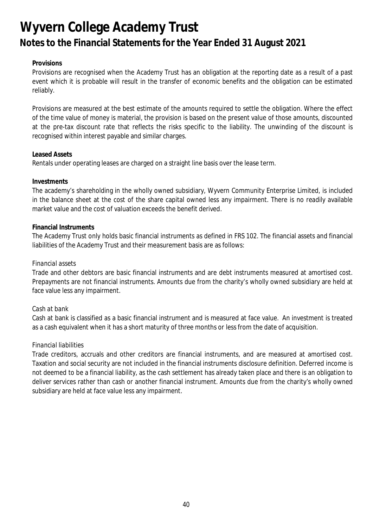#### **Provisions**

Provisions are recognised when the Academy Trust has an obligation at the reporting date as a result of a past event which it is probable will result in the transfer of economic benefits and the obligation can be estimated reliably.

Provisions are measured at the best estimate of the amounts required to settle the obligation. Where the effect of the time value of money is material, the provision is based on the present value of those amounts, discounted at the pre-tax discount rate that reflects the risks specific to the liability. The unwinding of the discount is recognised within interest payable and similar charges.

#### **Leased Assets**

Rentals under operating leases are charged on a straight line basis over the lease term.

#### **Investments**

The academy's shareholding in the wholly owned subsidiary, Wyvern Community Enterprise Limited, is included in the balance sheet at the cost of the share capital owned less any impairment. There is no readily available market value and the cost of valuation exceeds the benefit derived.

#### **Financial Instruments**

The Academy Trust only holds basic financial instruments as defined in FRS 102. The financial assets and financial liabilities of the Academy Trust and their measurement basis are as follows:

#### *Financial assets*

Trade and other debtors are basic financial instruments and are debt instruments measured at amortised cost. Prepayments are not financial instruments. Amounts due from the charity's wholly owned subsidiary are held at face value less any impairment.

### *Cash at bank*

Cash at bank is classified as a basic financial instrument and is measured at face value. An investment is treated as a cash equivalent when it has a short maturity of three months or less from the date of acquisition.

#### *Financial liabilities*

Trade creditors, accruals and other creditors are financial instruments, and are measured at amortised cost. Taxation and social security are not included in the financial instruments disclosure definition. Deferred income is not deemed to be a financial liability, as the cash settlement has already taken place and there is an obligation to deliver services rather than cash or another financial instrument. Amounts due from the charity's wholly owned subsidiary are held at face value less any impairment.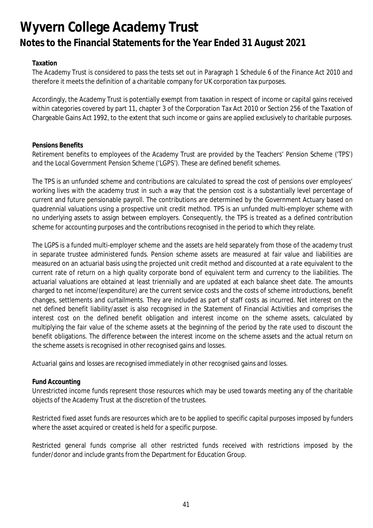### **Taxation**

The Academy Trust is considered to pass the tests set out in Paragraph 1 Schedule 6 of the Finance Act 2010 and therefore it meets the definition of a charitable company for UK corporation tax purposes.

Accordingly, the Academy Trust is potentially exempt from taxation in respect of income or capital gains received within categories covered by part 11, chapter 3 of the Corporation Tax Act 2010 or Section 256 of the Taxation of Chargeable Gains Act 1992, to the extent that such income or gains are applied exclusively to charitable purposes.

#### **Pensions Benefits**

Retirement benefits to employees of the Academy Trust are provided by the Teachers' Pension Scheme ('TPS') and the Local Government Pension Scheme ('LGPS'). These are defined benefit schemes.

The TPS is an unfunded scheme and contributions are calculated to spread the cost of pensions over employees' working lives with the academy trust in such a way that the pension cost is a substantially level percentage of current and future pensionable payroll. The contributions are determined by the Government Actuary based on quadrennial valuations using a prospective unit credit method. TPS is an unfunded multi-employer scheme with no underlying assets to assign between employers. Consequently, the TPS is treated as a defined contribution scheme for accounting purposes and the contributions recognised in the period to which they relate.

The LGPS is a funded multi-employer scheme and the assets are held separately from those of the academy trust in separate trustee administered funds. Pension scheme assets are measured at fair value and liabilities are measured on an actuarial basis using the projected unit credit method and discounted at a rate equivalent to the current rate of return on a high quality corporate bond of equivalent term and currency to the liabilities. The actuarial valuations are obtained at least triennially and are updated at each balance sheet date. The amounts charged to net income/(expenditure) are the current service costs and the costs of scheme introductions, benefit changes, settlements and curtailments. They are included as part of staff costs as incurred. Net interest on the net defined benefit liability/asset is also recognised in the Statement of Financial Activities and comprises the interest cost on the defined benefit obligation and interest income on the scheme assets, calculated by multiplying the fair value of the scheme assets at the beginning of the period by the rate used to discount the benefit obligations. The difference between the interest income on the scheme assets and the actual return on the scheme assets is recognised in other recognised gains and losses.

Actuarial gains and losses are recognised immediately in other recognised gains and losses.

### **Fund Accounting**

Unrestricted income funds represent those resources which may be used towards meeting any of the charitable objects of the Academy Trust at the discretion of the trustees.

Restricted fixed asset funds are resources which are to be applied to specific capital purposes imposed by funders where the asset acquired or created is held for a specific purpose.

Restricted general funds comprise all other restricted funds received with restrictions imposed by the funder/donor and include grants from the Department for Education Group.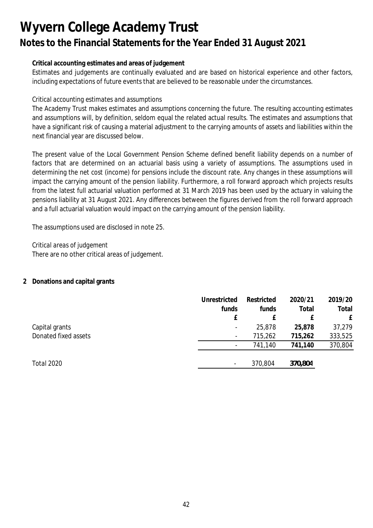### **Critical accounting estimates and areas of judgement**

Estimates and judgements are continually evaluated and are based on historical experience and other factors, including expectations of future events that are believed to be reasonable under the circumstances.

### *Critical accounting estimates and assumptions*

The Academy Trust makes estimates and assumptions concerning the future. The resulting accounting estimates and assumptions will, by definition, seldom equal the related actual results. The estimates and assumptions that have a significant risk of causing a material adjustment to the carrying amounts of assets and liabilities within the next financial year are discussed below.

The present value of the Local Government Pension Scheme defined benefit liability depends on a number of factors that are determined on an actuarial basis using a variety of assumptions. The assumptions used in determining the net cost (income) for pensions include the discount rate. Any changes in these assumptions will impact the carrying amount of the pension liability. Furthermore, a roll forward approach which projects results from the latest full actuarial valuation performed at 31 March 2019 has been used by the actuary in valuing the pensions liability at 31 August 2021. Any differences between the figures derived from the roll forward approach and a full actuarial valuation would impact on the carrying amount of the pension liability.

The assumptions used are disclosed in note 25.

*Critical areas of judgement* There are no other critical areas of judgement.

### **2 Donations and capital grants**

|                      | Unrestricted             | Restricted | 2020/21 | 2019/20 |
|----------------------|--------------------------|------------|---------|---------|
|                      | funds                    | funds      | Total   | Total   |
|                      | f                        |            |         | £       |
| Capital grants       | $\overline{\phantom{a}}$ | 25,878     | 25,878  | 37,279  |
| Donated fixed assets | $\overline{\phantom{a}}$ | 715,262    | 715,262 | 333,525 |
|                      | -                        | 741,140    | 741,140 | 370,804 |
|                      |                          |            |         |         |
| <b>Total 2020</b>    | $\overline{\phantom{a}}$ | 370,804    | 370,804 |         |
|                      |                          |            |         |         |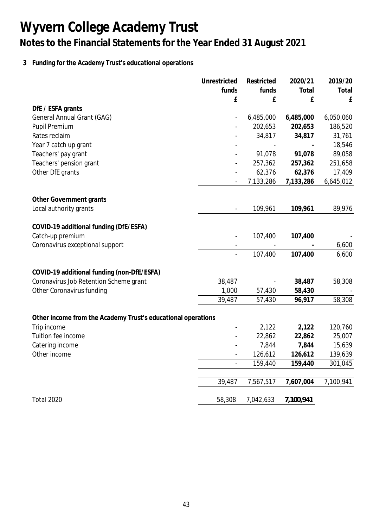## **3 Funding for the Academy Trust's educational operations**

|                                                              | Unrestricted             | Restricted | 2020/21   | 2019/20   |
|--------------------------------------------------------------|--------------------------|------------|-----------|-----------|
|                                                              | funds                    | funds      | Total     | Total     |
|                                                              | £                        | £          | £         | £         |
| DfE / ESFA grants                                            |                          |            |           |           |
| General Annual Grant (GAG)                                   |                          | 6,485,000  | 6,485,000 | 6,050,060 |
| Pupil Premium                                                |                          | 202,653    | 202,653   | 186,520   |
| Rates reclaim                                                |                          | 34,817     | 34,817    | 31,761    |
| Year 7 catch up grant                                        |                          |            |           | 18,546    |
| Teachers' pay grant                                          |                          | 91,078     | 91,078    | 89,058    |
| Teachers' pension grant                                      |                          | 257,362    | 257,362   | 251,658   |
| Other DfE grants                                             |                          | 62,376     | 62,376    | 17,409    |
|                                                              |                          | 7,133,286  | 7,133,286 | 6,645,012 |
| Other Government grants                                      |                          |            |           |           |
| Local authority grants                                       | $\frac{1}{2}$            | 109,961    | 109,961   | 89,976    |
|                                                              |                          |            |           |           |
| COVID-19 additional funding (DfE/ESFA)                       |                          |            |           |           |
| Catch-up premium                                             |                          | 107,400    | 107,400   |           |
| Coronavirus exceptional support                              |                          |            |           | 6,600     |
|                                                              | $\overline{a}$           | 107,400    | 107,400   | 6,600     |
| COVID-19 additional funding (non-DfE/ESFA)                   |                          |            |           |           |
| Coronavirus Job Retention Scheme grant                       | 38,487                   |            | 38,487    | 58,308    |
| Other Coronavirus funding                                    | 1,000                    | 57,430     | 58,430    |           |
|                                                              | 39,487                   | 57,430     | 96,917    | 58,308    |
|                                                              |                          |            |           |           |
| Other income from the Academy Trust's educational operations |                          |            |           |           |
| Trip income                                                  |                          | 2,122      | 2,122     | 120,760   |
| Tuition fee income                                           |                          | 22,862     | 22,862    | 25,007    |
| Catering income                                              |                          | 7,844      | 7,844     | 15,639    |
| Other income                                                 | $\overline{\phantom{m}}$ | 126,612    | 126,612   | 139,639   |
|                                                              | $\overline{a}$           | 159,440    | 159,440   | 301,045   |
|                                                              | 39,487                   | 7,567,517  | 7,607,004 | 7,100,941 |
| <b>Total 2020</b>                                            | 58,308                   | 7,042,633  | 7,100,941 |           |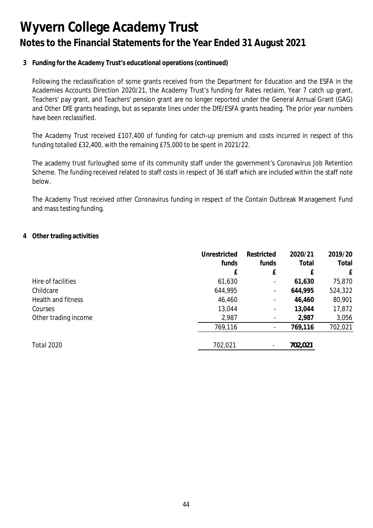**3 Funding for the Academy Trust's educational operations (continued)**

Following the reclassification of some grants received from the Department for Education and the ESFA in the Academies Accounts Direction 2020/21, the Academy Trust's funding for Rates reclaim, Year 7 catch up grant, Teachers' pay grant, and Teachers' pension grant are no longer reported under the General Annual Grant (GAG) and Other DfE grants headings, but as separate lines under the DfE/ESFA grants heading. The prior year numbers have been reclassified.

The Academy Trust received £107,400 of funding for catch-up premium and costs incurred in respect of this funding totalled £32,400, with the remaining £75,000 to be spent in 2021/22.

The academy trust furloughed some of its community staff under the government's Coronavirus Job Retention Scheme. The funding received related to staff costs in respect of 36 staff which are included within the staff note below.

The Academy Trust received other Coronavirus funding in respect of the Contain Outbreak Management Fund and mass testing funding.

### **4 Other trading activities**

|                           | Unrestricted | Restricted               | 2020/21 | 2019/20 |
|---------------------------|--------------|--------------------------|---------|---------|
|                           | funds        | funds                    | Total   | Total   |
|                           | f            | £                        | f       | £       |
| Hire of facilities        | 61,630       | $\overline{\phantom{a}}$ | 61,630  | 75,870  |
| Childcare                 | 644,995      | $\overline{\phantom{a}}$ | 644,995 | 524,322 |
| <b>Health and fitness</b> | 46,460       | $\overline{\phantom{a}}$ | 46,460  | 80,901  |
| Courses                   | 13,044       | $\overline{\phantom{a}}$ | 13,044  | 17,872  |
| Other trading income      | 2,987        | $\overline{\phantom{a}}$ | 2,987   | 3,056   |
|                           | 769,116      | $\overline{\phantom{a}}$ | 769,116 | 702,021 |
| Total 2020                | 702,021      |                          | 702,021 |         |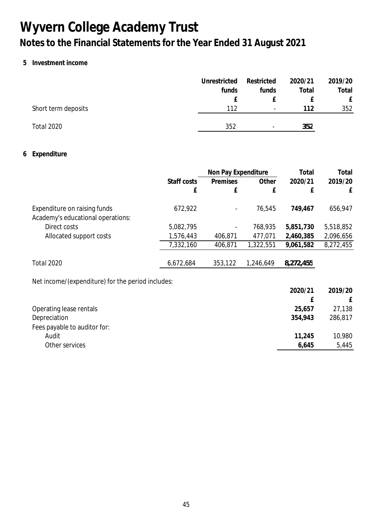### **5 Investment income**

|                     | Unrestricted | Restricted               | 2020/21 | 2019/20 |
|---------------------|--------------|--------------------------|---------|---------|
|                     | funds        | funds                    | Total   | Total   |
|                     |              |                          |         |         |
| Short term deposits | 112          | $\overline{\phantom{a}}$ | 112     | 352     |
|                     |              |                          |         |         |
| Total 2020          | 352          | $\overline{\phantom{0}}$ | 352     |         |

### **6 Expenditure**

|                                                                   |             | Non Pay Expenditure      |           | Total     | Total     |  |
|-------------------------------------------------------------------|-------------|--------------------------|-----------|-----------|-----------|--|
|                                                                   | Staff costs | Premises                 | Other     | 2020/21   | 2019/20   |  |
|                                                                   | £           | £                        | £         | £         | £         |  |
| Expenditure on raising funds<br>Academy's educational operations: | 672,922     | $\overline{\phantom{a}}$ | 76,545    | 749,467   | 656,947   |  |
| Direct costs                                                      | 5,082,795   |                          | 768,935   | 5,851,730 | 5,518,852 |  |
| Allocated support costs                                           | 1,576,443   | 406,871                  | 477,071   | 2,460,385 | 2,096,656 |  |
|                                                                   | 7,332,160   | 406,871                  | 1,322,551 | 9,061,582 | 8,272,455 |  |
| <b>Total 2020</b>                                                 | 6,672,684   | 353,122                  | 1,246,649 | 8,272,455 |           |  |
| Net income/(expenditure) for the period includes:                 |             |                          |           |           |           |  |

|                              | 2020/21 | 2019/20 |
|------------------------------|---------|---------|
|                              |         |         |
| Operating lease rentals      | 25,657  | 27,138  |
| Depreciation                 | 354,943 | 286,817 |
| Fees payable to auditor for: |         |         |
| Audit                        | 11,245  | 10,980  |
| Other services               | 6,645   | 5,445   |
|                              |         |         |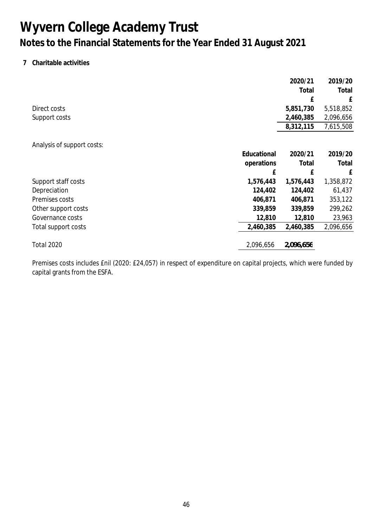### **7 Charitable activities**

|                            |             | 2020/21   | 2019/20   |
|----------------------------|-------------|-----------|-----------|
|                            |             | Total     | Total     |
|                            |             | £         | £         |
| Direct costs               |             | 5,851,730 | 5,518,852 |
| Support costs              |             | 2,460,385 | 2,096,656 |
|                            |             | 8,312,115 | 7,615,508 |
| Analysis of support costs: |             |           |           |
|                            | Educational | 2020/21   | 2019/20   |
|                            | operations  | Total     | Total     |
|                            | £           | £         | £         |
| Support staff costs        | 1,576,443   | 1,576,443 | 1,358,872 |
| Depreciation               | 124,402     | 124,402   | 61,437    |
| Premises costs             | 406,871     | 406,871   | 353,122   |
| Other support costs        | 339,859     | 339,859   | 299,262   |
| Governance costs           | 12,810      | 12,810    | 23,963    |
| Total support costs        | 2,460,385   | 2,460,385 | 2,096,656 |
| <b>Total 2020</b>          | 2,096,656   | 2,096,656 |           |

Premises costs includes £nil (2020: £24,057) in respect of expenditure on capital projects, which were funded by capital grants from the ESFA.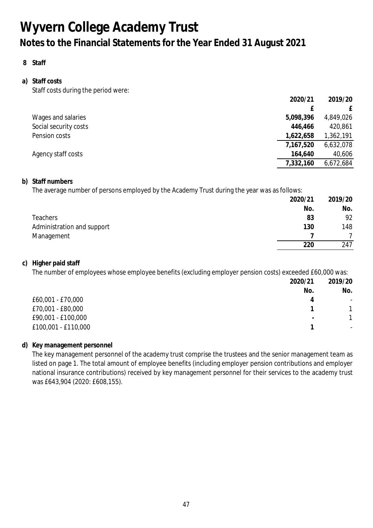**8 Staff**

#### **a) Staff costs** Staff costs during the period were:

|                       | 2020/21   | 2019/20   |
|-----------------------|-----------|-----------|
|                       |           | £         |
| Wages and salaries    | 5,098,396 | 4,849,026 |
| Social security costs | 446,466   | 420,861   |
| Pension costs         | 1,622,658 | 1,362,191 |
|                       | 7,167,520 | 6,632,078 |
| Agency staff costs    | 164,640   | 40,606    |
|                       | 7,332,160 | 6,672,684 |
|                       |           |           |

### **b) Staff numbers**

The average number of persons employed by the Academy Trust during the year was as follows:

|                            | 2020/21 | 2019/20 |
|----------------------------|---------|---------|
|                            | No.     | No.     |
| <b>Teachers</b>            | 83      | 92      |
| Administration and support | 130     | 148     |
| Management                 |         |         |
|                            | 220     | 247     |

### **c) Higher paid staff**

The number of employees whose employee benefits (excluding employer pension costs) exceeded £60,000 was:

|                     | 2020/21                  | 2019/20                  |
|---------------------|--------------------------|--------------------------|
|                     | No.                      | No.                      |
| £60,001 - £70,000   | 4                        | -                        |
| £70,001 - £80,000   |                          |                          |
| £90,001 - £100,000  | $\overline{\phantom{0}}$ |                          |
| £100,001 - £110,000 |                          | $\overline{\phantom{a}}$ |

### **d) Key management personnel**

The key management personnel of the academy trust comprise the trustees and the senior management team as listed on page 1. The total amount of employee benefits (including employer pension contributions and employer national insurance contributions) received by key management personnel for their services to the academy trust was £643,904 (2020: £608,155).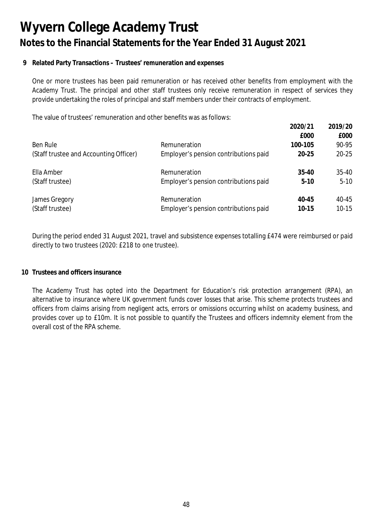### **9 Related Party Transactions – Trustees' remuneration and expenses**

One or more trustees has been paid remuneration or has received other benefits from employment with the Academy Trust. The principal and other staff trustees only receive remuneration in respect of services they provide undertaking the roles of principal and staff members under their contracts of employment.

The value of trustees' remuneration and other benefits was as follows:

|                                        |                                       | 2020/21   | 2019/20   |
|----------------------------------------|---------------------------------------|-----------|-----------|
|                                        |                                       | £000      | £000      |
| Ben Rule                               | Remuneration                          | 100-105   | 90-95     |
| (Staff trustee and Accounting Officer) | Employer's pension contributions paid | $20 - 25$ | $20 - 25$ |
| Ella Amber                             | Remuneration                          | $35 - 40$ | $35 - 40$ |
| (Staff trustee)                        | Employer's pension contributions paid | $5-10$    | $5 - 10$  |
| James Gregory                          | Remuneration                          | $40 - 45$ | 40-45     |
| (Staff trustee)                        | Employer's pension contributions paid | 10-15     | $10 - 15$ |

During the period ended 31 August 2021, travel and subsistence expenses totalling £474 were reimbursed or paid directly to two trustees (2020: £218 to one trustee).

#### **10 Trustees and officers insurance**

The Academy Trust has opted into the Department for Education's risk protection arrangement (RPA), an alternative to insurance where UK government funds cover losses that arise. This scheme protects trustees and officers from claims arising from negligent acts, errors or omissions occurring whilst on academy business, and provides cover up to £10m. It is not possible to quantify the Trustees and officers indemnity element from the overall cost of the RPA scheme.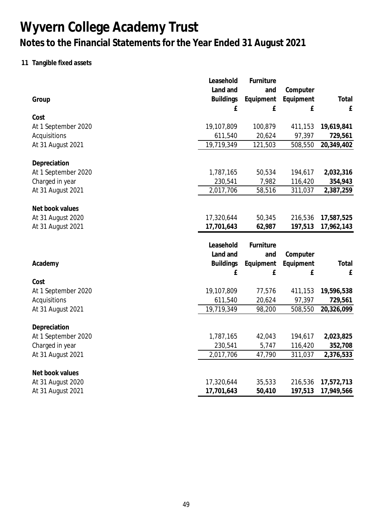## **11 Tangible fixed assets**

|                                        | Leasehold                | Furniture        |                    |                          |
|----------------------------------------|--------------------------|------------------|--------------------|--------------------------|
|                                        | Land and                 | and              | Computer           |                          |
| Group                                  | <b>Buildings</b>         | Equipment        | Equipment          | Total                    |
|                                        | £                        | £                | £                  | £                        |
| Cost                                   |                          |                  |                    |                          |
| At 1 September 2020                    | 19,107,809               | 100,879          | 411,153            | 19,619,841               |
| Acquisitions                           | 611,540                  | 20,624           | 97,397             | 729,561                  |
| At 31 August 2021                      | 19,719,349               | 121,503          | 508,550            | 20,349,402               |
| Depreciation                           |                          |                  |                    |                          |
| At 1 September 2020                    | 1,787,165                | 50,534           | 194,617            | 2,032,316                |
| Charged in year                        | 230,541                  | 7,982            | 116,420            | 354,943                  |
| At 31 August 2021                      | 2,017,706                | 58,516           | 311,037            | 2,387,259                |
|                                        |                          |                  |                    |                          |
| Net book values                        |                          |                  |                    |                          |
| At 31 August 2020                      | 17,320,644               | 50,345           | 216,536            | 17,587,525               |
| At 31 August 2021                      | 17,701,643               | 62,987           | 197,513            | 17,962,143               |
|                                        |                          |                  |                    |                          |
|                                        | Leasehold                | Furniture        |                    |                          |
|                                        | Land and                 | and              | Computer           |                          |
| Academy                                | <b>Buildings</b>         | Equipment        | Equipment          | Total                    |
|                                        | £                        | £                | £                  | ${\sf E}$                |
| Cost                                   |                          |                  |                    |                          |
| At 1 September 2020                    | 19,107,809               | 77,576           | 411,153            | 19,596,538               |
| Acquisitions                           | 611,540                  | 20,624           | 97,397             | 729,561                  |
| At 31 August 2021                      |                          |                  |                    |                          |
|                                        | 19,719,349               | 98,200           | 508,550            | 20,326,099               |
| Depreciation                           |                          |                  |                    |                          |
|                                        | 1,787,165                | 42,043           | 194,617            | 2,023,825                |
| At 1 September 2020                    |                          | 5,747            | 116,420            | 352,708                  |
| Charged in year<br>At 31 August 2021   | 230,541<br>2,017,706     | 47,790           | 311,037            | 2,376,533                |
|                                        |                          |                  |                    |                          |
| Net book values                        |                          |                  |                    |                          |
| At 31 August 2020<br>At 31 August 2021 | 17,320,644<br>17,701,643 | 35,533<br>50,410 | 216,536<br>197,513 | 17,572,713<br>17,949,566 |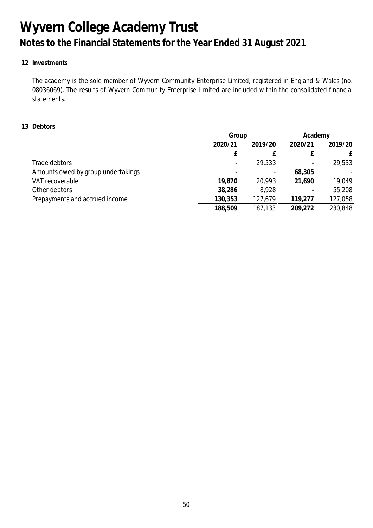### **12 Investments**

The academy is the sole member of Wyvern Community Enterprise Limited, registered in England & Wales (no. 08036069). The results of Wyvern Community Enterprise Limited are included within the consolidated financial statements.

### **13 Debtors**

|                                    |                          | Group                    |         | Academy |
|------------------------------------|--------------------------|--------------------------|---------|---------|
|                                    | 2020/21                  | 2019/20                  | 2020/21 | 2019/20 |
|                                    |                          |                          |         |         |
| Trade debtors                      | $\overline{\phantom{a}}$ | 29,533                   |         | 29,533  |
| Amounts owed by group undertakings |                          | $\overline{\phantom{a}}$ | 68,305  |         |
| VAT recoverable                    | 19,870                   | 20,993                   | 21,690  | 19,049  |
| Other debtors                      | 38,286                   | 8,928                    |         | 55,208  |
| Prepayments and accrued income     | 130,353                  | 127,679                  | 119,277 | 127,058 |
|                                    | 188,509                  | 187,133                  | 209,272 | 230,848 |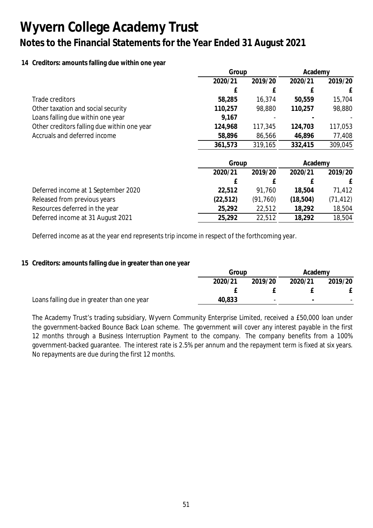### **14 Creditors: amounts falling due within one year**

|                                             | Group     |           | Academy   |           |
|---------------------------------------------|-----------|-----------|-----------|-----------|
|                                             | 2020/21   | 2019/20   | 2020/21   | 2019/20   |
|                                             | £         | f         |           | £         |
| Trade creditors                             | 58,285    | 16,374    | 50,559    | 15,704    |
| Other taxation and social security          | 110,257   | 98,880    | 110,257   | 98,880    |
| Loans falling due within one year           | 9,167     |           |           |           |
| Other creditors falling due within one year | 124,968   | 117,345   | 124,703   | 117,053   |
| Accruals and deferred income                | 58,896    | 86,566    | 46,896    | 77,408    |
|                                             | 361,573   | 319,165   | 332,415   | 309,045   |
|                                             | Group     |           | Academy   |           |
|                                             | 2020/21   | 2019/20   | 2020/21   | 2019/20   |
|                                             | £         | f         |           | £         |
| Deferred income at 1 September 2020         | 22,512    | 91,760    | 18,504    | 71,412    |
| Released from previous years                | (22, 512) | (91, 760) | (18, 504) | (71, 412) |
| Resources deferred in the year              | 25,292    | 22,512    | 18,292    | 18,504    |
| Deferred income at 31 August 2021           | 25,292    | 22,512    | 18,292    | 18,504    |

Deferred income as at the year end represents trip income in respect of the forthcoming year.

### **15 Creditors: amounts falling due in greater than one year**

|                                            |         | Group                    |                          | Academy |
|--------------------------------------------|---------|--------------------------|--------------------------|---------|
|                                            | 2020/21 | 2019/20                  | 2020/21                  | 2019/20 |
|                                            |         |                          |                          |         |
| Loans falling due in greater than one year | 40,833  | $\overline{\phantom{0}}$ | $\overline{\phantom{0}}$ |         |

The Academy Trust's trading subsidiary, Wyvern Community Enterprise Limited, received a £50,000 loan under the government-backed Bounce Back Loan scheme. The government will cover any interest payable in the first 12 months through a Business Interruption Payment to the company. The company benefits from a 100% government-backed guarantee. The interest rate is 2.5% per annum and the repayment term is fixed at six years. No repayments are due during the first 12 months.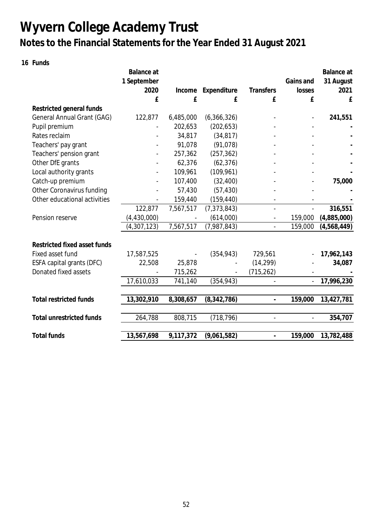**16 Funds**

|                                   | Balance at    |           |               |                              |                | Balance at  |
|-----------------------------------|---------------|-----------|---------------|------------------------------|----------------|-------------|
|                                   | 1 September   |           |               |                              | Gains and      | 31 August   |
|                                   | 2020          | Income    | Expenditure   | Transfers                    | losses         | 2021        |
|                                   | £             | £         | £             | £                            | £              | £           |
| Restricted general funds          |               |           |               |                              |                |             |
| <b>General Annual Grant (GAG)</b> | 122,877       | 6,485,000 | (6,366,326)   |                              |                | 241,551     |
| Pupil premium                     |               | 202,653   | (202, 653)    |                              |                |             |
| Rates reclaim                     |               | 34,817    | (34, 817)     |                              |                |             |
| Teachers' pay grant               |               | 91,078    | (91, 078)     |                              |                |             |
| Teachers' pension grant           |               | 257,362   | (257, 362)    |                              |                |             |
| Other DfE grants                  |               | 62,376    | (62, 376)     |                              |                |             |
| Local authority grants            |               | 109,961   | (109, 961)    |                              |                |             |
| Catch-up premium                  |               | 107,400   | (32, 400)     |                              |                | 75,000      |
| Other Coronavirus funding         |               | 57,430    | (57, 430)     |                              |                |             |
| Other educational activities      |               | 159,440   | (159, 440)    | $\overline{\phantom{a}}$     |                |             |
|                                   | 122,877       | 7,567,517 | (7, 373, 843) | $\overline{a}$               |                | 316,551     |
| Pension reserve                   | (4, 430, 000) |           | (614,000)     | $\qquad \qquad \blacksquare$ | 159,000        | (4,885,000) |
|                                   | (4, 307, 123) | 7,567,517 | (7,987,843)   | $\frac{1}{2}$                | 159,000        | (4,568,449) |
| Restricted fixed asset funds      |               |           |               |                              |                |             |
| Fixed asset fund                  | 17,587,525    |           | (354, 943)    | 729,561                      |                | 17,962,143  |
| ESFA capital grants (DFC)         | 22,508        | 25,878    |               | (14, 299)                    |                | 34,087      |
| Donated fixed assets              |               | 715,262   |               | (715, 262)                   |                |             |
|                                   | 17,610,033    | 741,140   | (354, 943)    |                              | $\blacksquare$ | 17,996,230  |
|                                   |               |           |               |                              |                |             |
| <b>Total restricted funds</b>     | 13,302,910    | 8,308,657 | (8, 342, 786) | $\blacksquare$               | 159,000        | 13,427,781  |
| <b>Total unrestricted funds</b>   | 264,788       | 808,715   | (718, 796)    | $\overline{a}$               | $\overline{a}$ | 354,707     |
| <b>Total funds</b>                | 13,567,698    | 9,117,372 | (9,061,582)   | $\centerdot$                 | 159,000        | 13,782,488  |
|                                   |               |           |               |                              |                |             |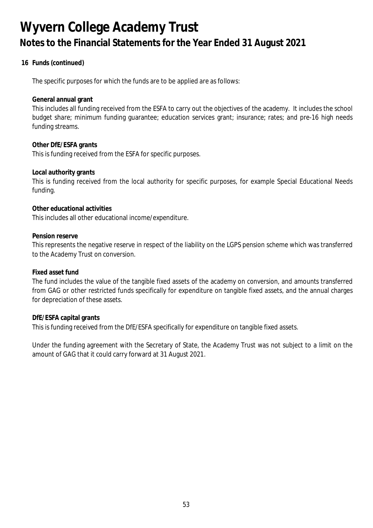**16 Funds (continued)**

The specific purposes for which the funds are to be applied are as follows:

**General annual grant**

This includes all funding received from the ESFA to carry out the objectives of the academy. It includes the school budget share; minimum funding guarantee; education services grant; insurance; rates; and pre-16 high needs funding streams.

**Other DfE/ESFA grants** This is funding received from the ESFA for specific purposes.

**Local authority grants**

This is funding received from the local authority for specific purposes, for example Special Educational Needs funding.

**Other educational activities**

This includes all other educational income/expenditure.

**Pension reserve**

This represents the negative reserve in respect of the liability on the LGPS pension scheme which was transferred to the Academy Trust on conversion.

**Fixed asset fund**

The fund includes the value of the tangible fixed assets of the academy on conversion, and amounts transferred from GAG or other restricted funds specifically for expenditure on tangible fixed assets, and the annual charges for depreciation of these assets.

**DfE/ESFA capital grants** This is funding received from the DfE/ESFA specifically for expenditure on tangible fixed assets.

Under the funding agreement with the Secretary of State, the Academy Trust was not subject to a limit on the amount of GAG that it could carry forward at 31 August 2021.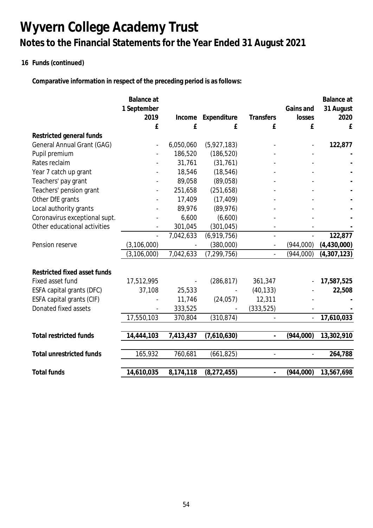## **16 Funds (continued)**

**Comparative information in respect of the preceding period is as follows:**

|                                 | Balance at    |           |               |                          |           | Balance at  |
|---------------------------------|---------------|-----------|---------------|--------------------------|-----------|-------------|
|                                 | 1 September   |           |               |                          | Gains and | 31 August   |
|                                 | 2019          | Income    | Expenditure   | <b>Transfers</b>         | losses    | 2020        |
|                                 | £             | £         | £             | £                        | £         | £           |
| Restricted general funds        |               |           |               |                          |           |             |
| General Annual Grant (GAG)      |               | 6,050,060 | (5,927,183)   |                          |           | 122,877     |
| Pupil premium                   |               | 186,520   | (186, 520)    |                          |           |             |
| Rates reclaim                   |               | 31,761    | (31, 761)     |                          |           |             |
| Year 7 catch up grant           |               | 18,546    | (18, 546)     |                          |           |             |
| Teachers' pay grant             |               | 89,058    | (89,058)      |                          |           |             |
| Teachers' pension grant         |               | 251,658   | (251, 658)    |                          |           |             |
| Other DfE grants                |               | 17,409    | (17, 409)     |                          |           |             |
| Local authority grants          |               | 89,976    | (89, 976)     |                          |           |             |
| Coronavirus exceptional supt.   |               | 6,600     | (6,600)       |                          |           |             |
| Other educational activities    |               | 301,045   | (301, 045)    |                          |           |             |
|                                 |               | 7,042,633 | (6,919,756)   | $\overline{\phantom{a}}$ |           | 122,877     |
| Pension reserve                 | (3, 106, 000) |           | (380,000)     | $\overline{\phantom{a}}$ | (944,000) | (4,430,000) |
|                                 | (3, 106, 000) | 7,042,633 | (7, 299, 756) | $\overline{\phantom{a}}$ | (944,000) | (4,307,123) |
|                                 |               |           |               |                          |           |             |
| Restricted fixed asset funds    |               |           |               |                          |           |             |
| Fixed asset fund                | 17,512,995    |           | (286, 817)    | 361,347                  |           | 17,587,525  |
| ESFA capital grants (DFC)       | 37,108        | 25,533    |               | (40, 133)                |           | 22,508      |
| ESFA capital grants (CIF)       |               | 11,746    | (24,057)      | 12,311                   |           |             |
| Donated fixed assets            |               | 333,525   |               | (333, 525)               |           |             |
|                                 | 17,550,103    | 370,804   | (310, 874)    |                          |           | 17,610,033  |
|                                 |               |           |               |                          |           |             |
| <b>Total restricted funds</b>   | 14,444,103    | 7,413,437 | (7,610,630)   | $\overline{\phantom{a}}$ | (944,000) | 13,302,910  |
|                                 |               |           |               |                          |           |             |
| <b>Total unrestricted funds</b> | 165,932       | 760,681   | (661, 825)    | $\frac{1}{2}$            |           | 264,788     |
| <b>Total funds</b>              | 14,610,035    | 8,174,118 | (8, 272, 455) |                          | (944,000) | 13,567,698  |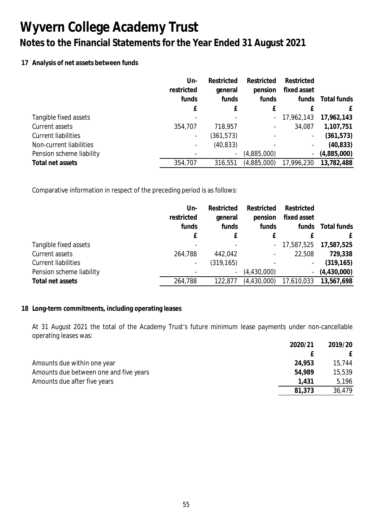### **17 Analysis of net assets between funds**

|                            | Un-        | Restricted               | Restricted               | Restricted                   |             |
|----------------------------|------------|--------------------------|--------------------------|------------------------------|-------------|
|                            | restricted | general                  | pension                  | fixed asset                  |             |
|                            | funds      | funds                    | funds                    | funds                        | Total funds |
|                            | f          |                          |                          |                              | f           |
| Tangible fixed assets      |            |                          | $\sim$                   | 17,962,143                   | 17,962,143  |
| Current assets             | 354,707    | 718,957                  | $\overline{\phantom{a}}$ | 34,087                       | 1,107,751   |
| <b>Current liabilities</b> |            | (361, 573)               |                          | $\qquad \qquad \blacksquare$ | (361, 573)  |
| Non-current liabilities    |            | (40, 833)                | $\overline{\phantom{a}}$ | -                            | (40, 833)   |
| Pension scheme liability   |            | $\overline{\phantom{a}}$ | (4,885,000)              | $\overline{\phantom{a}}$     | (4,885,000) |
| Total net assets           | 354,707    | 316,551                  | (4,885,000)              | 17,996,230                   | 13,782,488  |

Comparative information in respect of the preceding period is as follows:

|                            | Un-                      | Restricted               | Restricted               | Restricted     |             |
|----------------------------|--------------------------|--------------------------|--------------------------|----------------|-------------|
|                            | restricted               | general                  | pension                  | fixed asset    |             |
|                            | funds                    | funds                    | funds                    | funds          | Total funds |
|                            |                          |                          |                          |                |             |
| Tangible fixed assets      |                          |                          |                          | $-17,587,525$  | 17,587,525  |
| Current assets             | 264,788                  | 442,042                  | $\overline{\phantom{a}}$ | 22,508         | 729,338     |
| <b>Current liabilities</b> | $\overline{\phantom{a}}$ | (319, 165)               |                          | -              | (319, 165)  |
| Pension scheme liability   |                          | $\overline{\phantom{a}}$ | (4,430,000)              | $\blacksquare$ | (4,430,000) |
| Total net assets           | 264,788                  | 122,877                  | (4, 430, 000)            | 17,610,033     | 13,567,698  |
|                            |                          |                          |                          |                |             |

### **18 Long-term commitments, including operating leases**

At 31 August 2021 the total of the Academy Trust's future minimum lease payments under non-cancellable operating leases was:

|                                        | 2020/21 | 2019/20 |
|----------------------------------------|---------|---------|
|                                        |         |         |
| Amounts due within one year            | 24,953  | 15,744  |
| Amounts due between one and five years | 54.989  | 15,539  |
| Amounts due after five years           | 1.431   | 5,196   |
|                                        | 81,373  | 36,479  |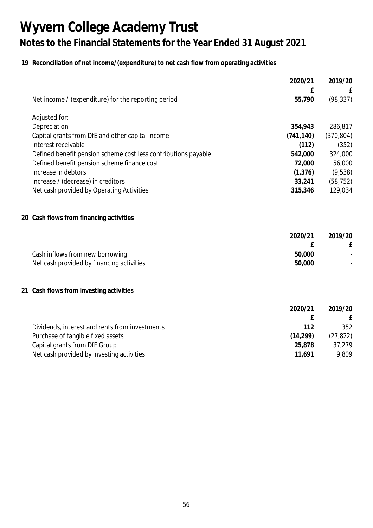## **19 Reconciliation of net income/(expenditure) to net cash flow from operating activities**

|                                                                | 2020/21    | 2019/20    |
|----------------------------------------------------------------|------------|------------|
|                                                                | £          |            |
| Net income / (expenditure) for the reporting period            | 55,790     | (98, 337)  |
| Adjusted for:                                                  |            |            |
| Depreciation                                                   | 354,943    | 286,817    |
| Capital grants from DfE and other capital income               | (741, 140) | (370, 804) |
| Interest receivable                                            | (112)      | (352)      |
| Defined benefit pension scheme cost less contributions payable | 542,000    | 324,000    |
| Defined benefit pension scheme finance cost                    | 72,000     | 56,000     |
| Increase in debtors                                            | (1, 376)   | (9,538)    |
| Increase / (decrease) in creditors                             | 33,241     | (58, 752)  |
| Net cash provided by Operating Activities                      | 315,346    | 129,034    |
|                                                                |            |            |
| 20 Cash flows from financing activities                        |            |            |
|                                                                | 2020/21    | 2019/20    |
|                                                                | £          | £          |
| Cash inflows from new borrowing                                | 50,000     |            |
| Net cash provided by financing activities                      | 50,000     |            |
|                                                                |            |            |
| 21 Cash flows from investing activities                        |            |            |
|                                                                | 2020/21    | 2019/20    |
|                                                                | £          | £          |
| Dividends, interest and rents from investments                 | 112        | 352        |
| Purchase of tangible fixed assets                              | (14, 299)  | (27, 822)  |
| Capital grants from DfE Group                                  | 25,878     | 37,279     |
| Net cash provided by investing activities                      | 11,691     | 9,809      |
|                                                                |            |            |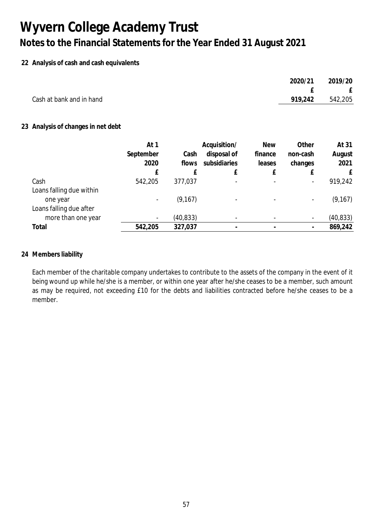### **22 Analysis of cash and cash equivalents**

|                          | 2020/21 | 2019/20 |
|--------------------------|---------|---------|
|                          |         | E       |
| Cash at bank and in hand | 919,242 | 542,205 |
|                          |         |         |

### **23 Analysis of changes in net debt**

|                          | At 1                     |           | Acquisition/ | <b>New</b> | Other                    | At 31     |
|--------------------------|--------------------------|-----------|--------------|------------|--------------------------|-----------|
|                          | September                | Cash      | disposal of  | finance    | non-cash                 | August    |
|                          | 2020                     | flows     | subsidiaries | leases     | changes                  | 2021      |
|                          | £                        |           | £            |            |                          | £         |
| Cash                     | 542,205                  | 377,037   |              |            | $\overline{\phantom{a}}$ | 919,242   |
| Loans falling due within |                          |           |              |            |                          |           |
| one year                 |                          | (9, 167)  |              |            | $\overline{\phantom{a}}$ | (9, 167)  |
| Loans falling due after  |                          |           |              |            |                          |           |
| more than one year       | $\overline{\phantom{a}}$ | (40, 833) |              |            | $\overline{\phantom{a}}$ | (40, 833) |
| Total                    | 542,205                  | 327,037   |              |            |                          | 869,242   |

#### **24 Members liability**

Each member of the charitable company undertakes to contribute to the assets of the company in the event of it being wound up while he/she is a member, or within one year after he/she ceases to be a member, such amount as may be required, not exceeding £10 for the debts and liabilities contracted before he/she ceases to be a member.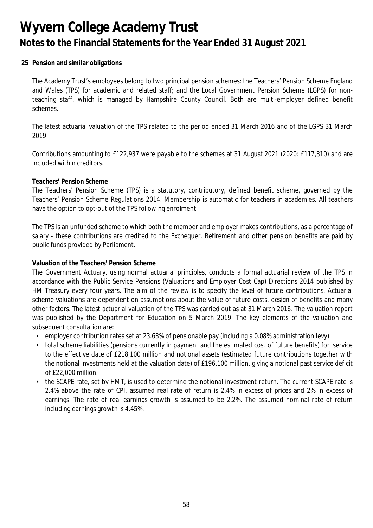**25 Pension and similar obligations**

The Academy Trust's employees belong to two principal pension schemes: the Teachers' Pension Scheme England and Wales (TPS) for academic and related staff; and the Local Government Pension Scheme (LGPS) for nonteaching staff, which is managed by Hampshire County Council. Both are multi-employer defined benefit schemes.

The latest actuarial valuation of the TPS related to the period ended 31 March 2016 and of the LGPS 31 March 2019.

Contributions amounting to £122,937 were payable to the schemes at 31 August 2021 (2020: £117,810) and are included within creditors.

#### **Teachers' Pension Scheme**

The Teachers' Pension Scheme (TPS) is a statutory, contributory, defined benefit scheme, governed by the Teachers' Pension Scheme Regulations 2014. Membership is automatic for teachers in academies. All teachers have the option to opt-out of the TPS following enrolment.

The TPS is an unfunded scheme to which both the member and employer makes contributions, as a percentage of salary - these contributions are credited to the Exchequer. Retirement and other pension benefits are paid by public funds provided by Parliament.

**Valuation of the Teachers' Pension Scheme**

The Government Actuary, using normal actuarial principles, conducts a formal actuarial review of the TPS in accordance with the Public Service Pensions (Valuations and Employer Cost Cap) Directions 2014 published by HM Treasury every four years. The aim of the review is to specify the level of future contributions. Actuarial scheme valuations are dependent on assumptions about the value of future costs, design of benefits and many other factors. The latest actuarial valuation of the TPS was carried out as at 31 March 2016. The valuation report was published by the Department for Education on 5 March 2019. The key elements of the valuation and subsequent consultation are:

- employer contribution rates set at 23.68% of pensionable pay (including a 0.08% administration levy).
- total scheme liabilities (pensions currently in payment and the estimated cost of future benefits) for service to the effective date of £218,100 million and notional assets (estimated future contributions together with the notional investments held at the valuation date) of £196,100 million, giving a notional past service deficit of £22,000 million.
- the SCAPE rate, set by HMT, is used to determine the notional investment return. The current SCAPE rate is 2.4% above the rate of CPI. assumed real rate of return is 2.4% in excess of prices and 2% in excess of earnings. The rate of real earnings growth is assumed to be 2.2%. The assumed nominal rate of return including earnings growth is 4.45%.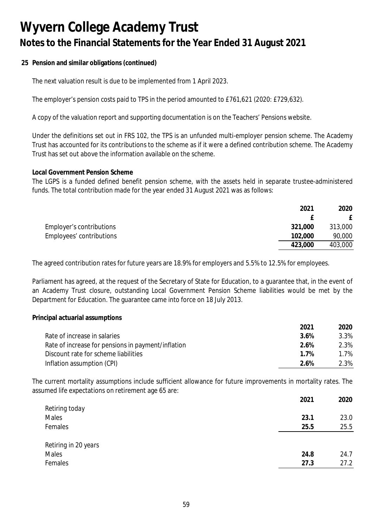**25 Pension and similar obligations (continued)**

The next valuation result is due to be implemented from 1 April 2023.

The employer's pension costs paid to TPS in the period amounted to £761,621 (2020: £729,632).

A copy of the valuation report and supporting documentation is on the Teachers' Pensions website.

Under the definitions set out in FRS 102, the TPS is an unfunded multi-employer pension scheme. The Academy Trust has accounted for its contributions to the scheme as if it were a defined contribution scheme. The Academy Trust has set out above the information available on the scheme.

#### **Local Government Pension Scheme**

The LGPS is a funded defined benefit pension scheme, with the assets held in separate trustee-administered funds. The total contribution made for the year ended 31 August 2021 was as follows:

|                          | 2021    | 2020    |
|--------------------------|---------|---------|
|                          |         |         |
| Employer's contributions | 321,000 | 313,000 |
| Employees' contributions | 102,000 | 90,000  |
|                          | 423,000 | 403,000 |

The agreed contribution rates for future years are 18.9% for employers and 5.5% to 12.5% for employees.

Parliament has agreed, at the request of the Secretary of State for Education, to a guarantee that, in the event of an Academy Trust closure, outstanding Local Government Pension Scheme liabilities would be met by the Department for Education. The guarantee came into force on 18 July 2013.

**Principal actuarial assumptions**

|                                                    | 2021 | 2020 |
|----------------------------------------------------|------|------|
| Rate of increase in salaries                       | 3.6% | 3.3% |
| Rate of increase for pensions in payment/inflation | 2.6% | 2.3% |
| Discount rate for scheme liabilities               | 1 7% | 1.7% |
| Inflation assumption (CPI)                         | 2 6% | 2.3% |

The current mortality assumptions include sufficient allowance for future improvements in mortality rates. The assumed life expectations on retirement age 65 are:

|                      | 2021 | 2020 |
|----------------------|------|------|
| Retiring today       |      |      |
| Males                | 23.1 | 23.0 |
| Females              | 25.5 | 25.5 |
|                      |      |      |
| Retiring in 20 years |      |      |
| Males                | 24.8 | 24.7 |
| Females              | 27.3 | 27.2 |
|                      |      |      |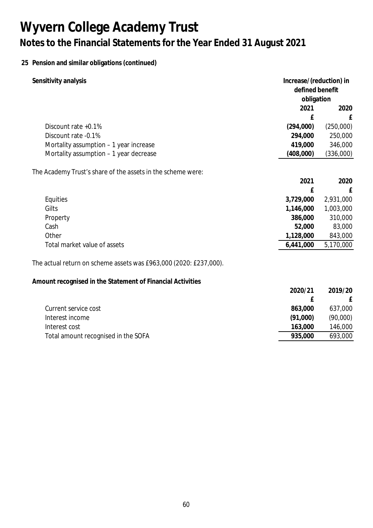## **25 Pension and similar obligations (continued)**

| Sensitivity analysis                                              | Increase/(reduction) in<br>defined benefit |           |
|-------------------------------------------------------------------|--------------------------------------------|-----------|
|                                                                   | obligation                                 |           |
|                                                                   | 2021                                       | 2020      |
|                                                                   | £                                          | £         |
| Discount rate +0.1%                                               | (294,000)                                  | (250,000) |
| Discount rate -0.1%                                               | 294,000                                    | 250,000   |
| Mortality assumption - 1 year increase                            | 419,000                                    | 346,000   |
| Mortality assumption - 1 year decrease                            | (408,000)                                  | (336,000) |
| The Academy Trust's share of the assets in the scheme were:       |                                            |           |
|                                                                   | 2021                                       | 2020      |
|                                                                   | £                                          | £         |
| Equities                                                          | 3,729,000                                  | 2,931,000 |
| Gilts                                                             | 1,146,000                                  | 1,003,000 |
| Property                                                          | 386,000                                    | 310,000   |
| Cash                                                              | 52,000                                     | 83,000    |
| Other                                                             | 1,128,000                                  | 843,000   |
| Total market value of assets                                      | 6,441,000                                  | 5,170,000 |
| The actual return on scheme assets was £963,000 (2020: £237,000). |                                            |           |
| Amount recognised in the Statement of Financial Activities        |                                            |           |
|                                                                   | 2020/21                                    | 2019/20   |
|                                                                   | £                                          | £         |
| Current service cost                                              | 863,000                                    | 637,000   |
| Interest income                                                   | (91,000)                                   | (90,000)  |
| Interest cost                                                     | 163,000                                    | 146,000   |
| Total amount recognised in the SOFA                               | 935,000                                    | 693,000   |